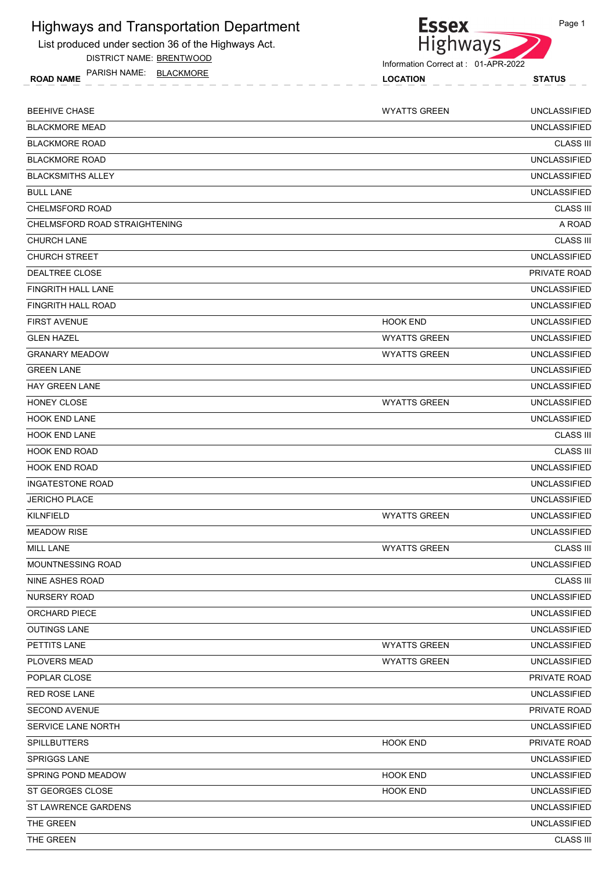

DISTRICT NAME: BRENTWOOD

ROAD NAME LOCATION STATUS PARISH NAME: BLACKMORE

| <b>Essex</b>    |  |
|-----------------|--|
| <b>Highways</b> |  |

Information Correct at : 01-APR-2022

| <b>BEEHIVE CHASE</b>          | <b>WYATTS GREEN</b> | <b>UNCLASSIFIED</b> |
|-------------------------------|---------------------|---------------------|
| <b>BLACKMORE MEAD</b>         |                     | <b>UNCLASSIFIED</b> |
| <b>BLACKMORE ROAD</b>         |                     | <b>CLASS III</b>    |
| <b>BLACKMORE ROAD</b>         |                     | <b>UNCLASSIFIED</b> |
| <b>BLACKSMITHS ALLEY</b>      |                     | <b>UNCLASSIFIED</b> |
| <b>BULL LANE</b>              |                     | <b>UNCLASSIFIED</b> |
| CHELMSFORD ROAD               |                     | <b>CLASS III</b>    |
| CHELMSFORD ROAD STRAIGHTENING |                     | A ROAD              |
| <b>CHURCH LANE</b>            |                     | <b>CLASS III</b>    |
| CHURCH STREET                 |                     | <b>UNCLASSIFIED</b> |
| DEALTREE CLOSE                |                     | <b>PRIVATE ROAD</b> |
| FINGRITH HALL LANE            |                     | <b>UNCLASSIFIED</b> |
| <b>FINGRITH HALL ROAD</b>     |                     | <b>UNCLASSIFIED</b> |
| <b>FIRST AVENUE</b>           | <b>HOOK END</b>     | <b>UNCLASSIFIED</b> |
| <b>GLEN HAZEL</b>             | <b>WYATTS GREEN</b> | <b>UNCLASSIFIED</b> |
| <b>GRANARY MEADOW</b>         | <b>WYATTS GREEN</b> | <b>UNCLASSIFIED</b> |
| <b>GREEN LANE</b>             |                     | <b>UNCLASSIFIED</b> |
| <b>HAY GREEN LANE</b>         |                     | <b>UNCLASSIFIED</b> |
| HONEY CLOSE                   | <b>WYATTS GREEN</b> | <b>UNCLASSIFIED</b> |
| <b>HOOK END LANE</b>          |                     | <b>UNCLASSIFIED</b> |
| <b>HOOK END LANE</b>          |                     | <b>CLASS III</b>    |
| <b>HOOK END ROAD</b>          |                     | <b>CLASS III</b>    |
| <b>HOOK END ROAD</b>          |                     | <b>UNCLASSIFIED</b> |
| <b>INGATESTONE ROAD</b>       |                     | <b>UNCLASSIFIED</b> |
| <b>JERICHO PLACE</b>          |                     | <b>UNCLASSIFIED</b> |
| <b>KILNFIELD</b>              | <b>WYATTS GREEN</b> | <b>UNCLASSIFIED</b> |
| <b>MEADOW RISE</b>            |                     | <b>UNCLASSIFIED</b> |
| <b>MILL LANE</b>              | <b>WYATTS GREEN</b> | <b>CLASS III</b>    |
| MOUNTNESSING ROAD             |                     | <b>UNCLASSIFIED</b> |
| NINE ASHES ROAD               |                     | <b>CLASS III</b>    |
| NURSERY ROAD                  |                     | <b>UNCLASSIFIED</b> |
| ORCHARD PIECE                 |                     | <b>UNCLASSIFIED</b> |
| <b>OUTINGS LANE</b>           |                     | <b>UNCLASSIFIED</b> |
| PETTITS LANE                  | <b>WYATTS GREEN</b> | UNCLASSIFIED        |
| PLOVERS MEAD                  | <b>WYATTS GREEN</b> | <b>UNCLASSIFIED</b> |
| POPLAR CLOSE                  |                     | PRIVATE ROAD        |
| RED ROSE LANE                 |                     | <b>UNCLASSIFIED</b> |
| SECOND AVENUE                 |                     | PRIVATE ROAD        |
| SERVICE LANE NORTH            |                     | <b>UNCLASSIFIED</b> |
| <b>SPILLBUTTERS</b>           | <b>HOOK END</b>     | PRIVATE ROAD        |
| <b>SPRIGGS LANE</b>           |                     | <b>UNCLASSIFIED</b> |
| SPRING POND MEADOW            | <b>HOOK END</b>     | <b>UNCLASSIFIED</b> |
| ST GEORGES CLOSE              | <b>HOOK END</b>     | <b>UNCLASSIFIED</b> |
| ST LAWRENCE GARDENS           |                     | <b>UNCLASSIFIED</b> |
| THE GREEN                     |                     | <b>UNCLASSIFIED</b> |
| THE GREEN                     |                     | <b>CLASS III</b>    |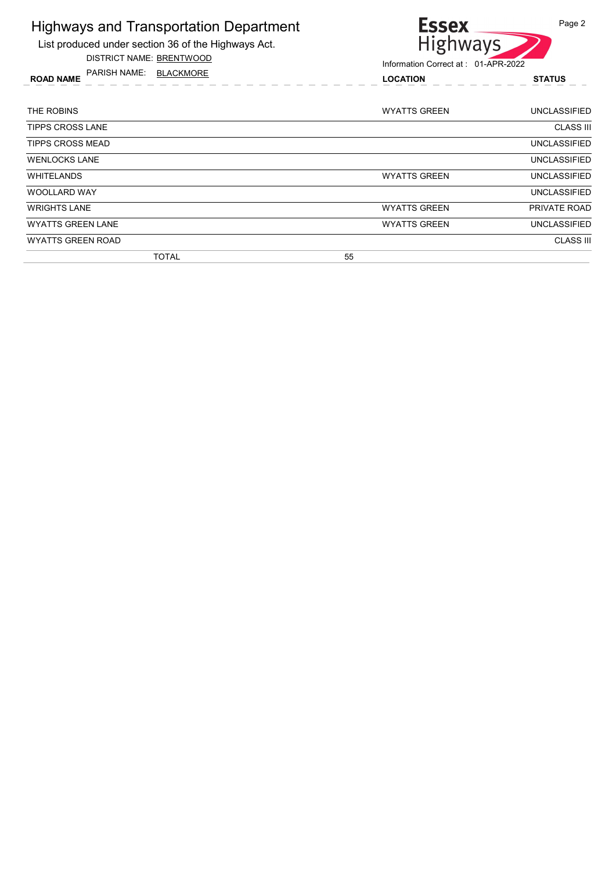List produced under section 36 of the Highways Act.

DISTRICT NAME: BRENTWOOD



| <b>ROAD NAME</b> | PARISH NAME: | BLACKMORE | <b>LOCATION</b>     | <b>STATUS</b> |
|------------------|--------------|-----------|---------------------|---------------|
| THE ROBINS       |              |           | <b>WYATTS GREEN</b> | UNCLASSIFIED  |
|                  |              |           |                     |               |

| <b>TIPPS CROSS LANE</b>  |                     | <b>CLASS III</b>    |
|--------------------------|---------------------|---------------------|
| <b>TIPPS CROSS MEAD</b>  |                     | <b>UNCLASSIFIED</b> |
| <b>WENLOCKS LANE</b>     |                     | <b>UNCLASSIFIED</b> |
| <b>WHITELANDS</b>        | <b>WYATTS GREEN</b> | UNCLASSIFIED        |
| <b>WOOLLARD WAY</b>      |                     | UNCLASSIFIED        |
| <b>WRIGHTS LANE</b>      | <b>WYATTS GREEN</b> | <b>PRIVATE ROAD</b> |
| <b>WYATTS GREEN LANE</b> | <b>WYATTS GREEN</b> | UNCLASSIFIED        |
| <b>WYATTS GREEN ROAD</b> |                     | <b>CLASS III</b>    |
| <b>TOTAL</b>             | 55                  |                     |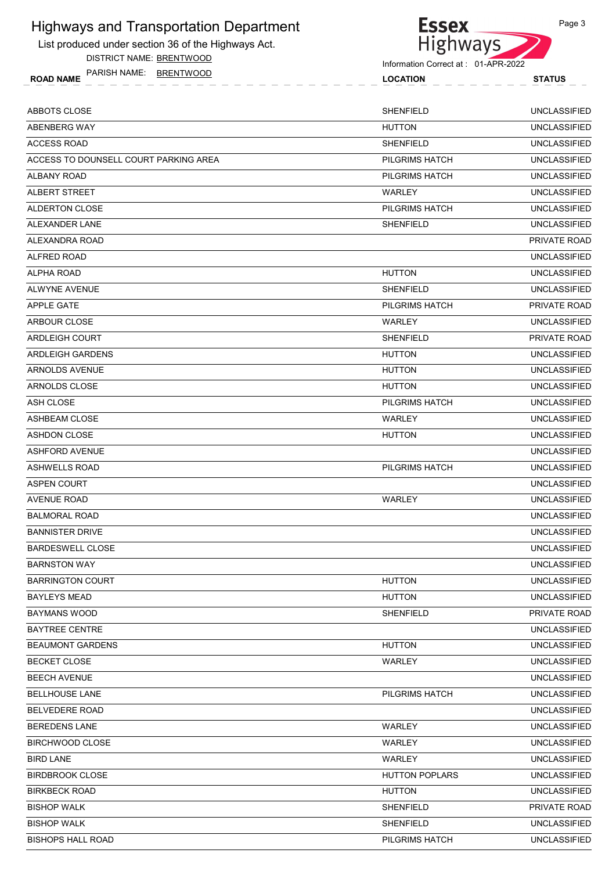

DISTRICT NAME: BRENTWOOD



Page 3

|                                            | Information Correct at: 01-APR-2022 |                     |
|--------------------------------------------|-------------------------------------|---------------------|
| PARISH NAME: BRENTWOOD<br><b>ROAD NAME</b> | <b>LOCATION</b>                     | <b>STATUS</b>       |
| ABBOTS CLOSE                               | <b>SHENFIELD</b>                    | <b>UNCLASSIFIED</b> |
| ABENBERG WAY                               | <b>HUTTON</b>                       | <b>UNCLASSIFIED</b> |
| ACCESS ROAD                                | <b>SHENFIELD</b>                    | <b>UNCLASSIFIED</b> |
| ACCESS TO DOUNSELL COURT PARKING AREA      | PILGRIMS HATCH                      | <b>UNCLASSIFIED</b> |
| ALBANY ROAD                                | PILGRIMS HATCH                      | <b>UNCLASSIFIED</b> |
| ALBERT STREET                              | <b>WARLEY</b>                       | <b>UNCLASSIFIED</b> |
| ALDERTON CLOSE                             | PILGRIMS HATCH                      | <b>UNCLASSIFIED</b> |
| ALEXANDER LANE                             | <b>SHENFIELD</b>                    | <b>UNCLASSIFIED</b> |
| ALEXANDRA ROAD                             |                                     | <b>PRIVATE ROAD</b> |
| ALFRED ROAD                                |                                     | <b>UNCLASSIFIED</b> |
| ALPHA ROAD                                 | <b>HUTTON</b>                       | <b>UNCLASSIFIED</b> |
| ALWYNE AVENUE                              | <b>SHENFIELD</b>                    | <b>UNCLASSIFIED</b> |
| APPLE GATE                                 | PILGRIMS HATCH                      | PRIVATE ROAD        |
| ARBOUR CLOSE                               | WARLEY                              | <b>UNCLASSIFIED</b> |
| ARDLEIGH COURT                             | <b>SHENFIELD</b>                    | <b>PRIVATE ROAD</b> |
| ARDLEIGH GARDENS                           | <b>HUTTON</b>                       | <b>UNCLASSIFIED</b> |
| ARNOLDS AVENUE                             | <b>HUTTON</b>                       | <b>UNCLASSIFIED</b> |
| ARNOLDS CLOSE                              | <b>HUTTON</b>                       | <b>UNCLASSIFIED</b> |
| ASH CLOSE                                  | PILGRIMS HATCH                      | <b>UNCLASSIFIED</b> |
| ASHBEAM CLOSE                              | <b>WARLEY</b>                       | <b>UNCLASSIFIED</b> |
| ASHDON CLOSE                               | <b>HUTTON</b>                       | <b>UNCLASSIFIED</b> |
| ASHFORD AVENUE                             |                                     | <b>UNCLASSIFIED</b> |
| ASHWELLS ROAD                              | PILGRIMS HATCH                      | <b>UNCLASSIFIED</b> |
| ASPEN COURT                                |                                     | <b>UNCLASSIFIED</b> |
| AVENUE ROAD                                | WARLEY                              | <b>UNCLASSIFIED</b> |
| BALMORAL ROAD                              |                                     | <b>UNCLASSIFIED</b> |
| BANNISTER DRIVE                            |                                     | <b>UNCLASSIFIED</b> |
| <b>BARDESWELL CLOSE</b>                    |                                     | <b>UNCLASSIFIED</b> |
| BARNSTON WAY                               |                                     | <b>UNCLASSIFIED</b> |

BISHOP WALK UNCLASSIFIED SHENFIELD BISHOPS HALL ROAD PILGRIMS HATCH UNCLASSIFIED

| <b>BANNISTER DRIVE</b>  |                       | <b>UNCLASSIFIED</b> |
|-------------------------|-----------------------|---------------------|
| <b>BARDESWELL CLOSE</b> |                       | <b>UNCLASSIFIED</b> |
| <b>BARNSTON WAY</b>     |                       | <b>UNCLASSIFIED</b> |
| <b>BARRINGTON COURT</b> | <b>HUTTON</b>         | <b>UNCLASSIFIED</b> |
| <b>BAYLEYS MEAD</b>     | <b>HUTTON</b>         | <b>UNCLASSIFIED</b> |
| <b>BAYMANS WOOD</b>     | <b>SHENFIELD</b>      | PRIVATE ROAD        |
| <b>BAYTREE CENTRE</b>   |                       | <b>UNCLASSIFIED</b> |
| <b>BEAUMONT GARDENS</b> | <b>HUTTON</b>         | <b>UNCLASSIFIED</b> |
| <b>BECKET CLOSE</b>     | <b>WARLEY</b>         | <b>UNCLASSIFIED</b> |
| <b>BEECH AVENUE</b>     |                       | <b>UNCLASSIFIED</b> |
| <b>BELLHOUSE LANE</b>   | <b>PILGRIMS HATCH</b> | <b>UNCLASSIFIED</b> |
| <b>BELVEDERE ROAD</b>   |                       | <b>UNCLASSIFIED</b> |
| <b>BEREDENS LANE</b>    | <b>WARLEY</b>         | <b>UNCLASSIFIED</b> |
| BIRCHWOOD CLOSE         | <b>WARLEY</b>         | <b>UNCLASSIFIED</b> |
| <b>BIRD LANE</b>        | <b>WARLEY</b>         | <b>UNCLASSIFIED</b> |
| <b>BIRDBROOK CLOSE</b>  | <b>HUTTON POPLARS</b> | <b>UNCLASSIFIED</b> |
| <b>BIRKBECK ROAD</b>    | <b>HUTTON</b>         | <b>UNCLASSIFIED</b> |
| <b>BISHOP WALK</b>      | <b>SHENFIELD</b>      | <b>PRIVATE ROAD</b> |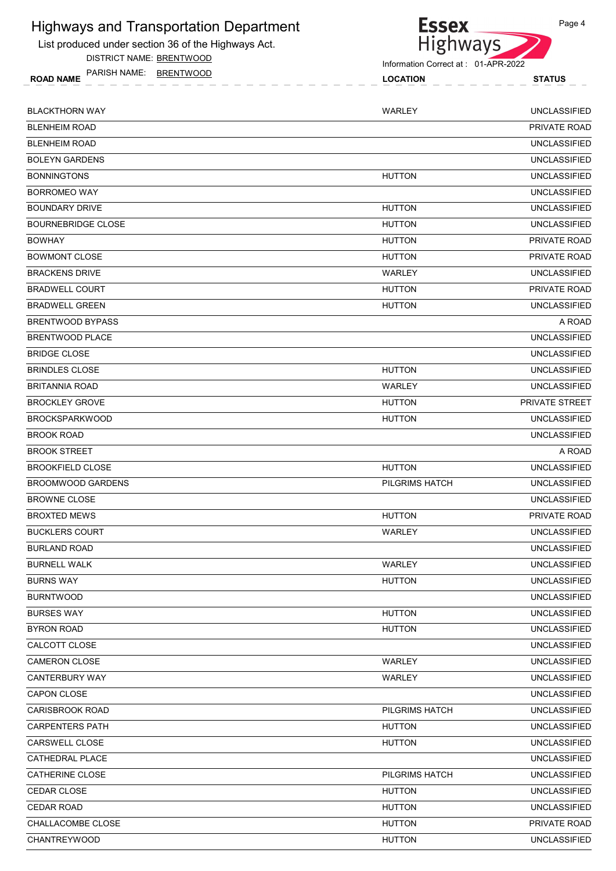List produced under section 36 of the Highways Act.

DISTRICT NAME: BRENTWOOD

ROAD NAME LOCATION STATUS PARISH NAME: BRENTWOOD



| <b>BLACKTHORN WAY</b>     | <b>WARLEY</b>  | <b>UNCLASSIFIED</b> |
|---------------------------|----------------|---------------------|
| <b>BLENHEIM ROAD</b>      |                | <b>PRIVATE ROAD</b> |
| <b>BLENHEIM ROAD</b>      |                | <b>UNCLASSIFIED</b> |
| <b>BOLEYN GARDENS</b>     |                | <b>UNCLASSIFIED</b> |
| <b>BONNINGTONS</b>        | <b>HUTTON</b>  | <b>UNCLASSIFIED</b> |
| <b>BORROMEO WAY</b>       |                | <b>UNCLASSIFIED</b> |
| <b>BOUNDARY DRIVE</b>     | <b>HUTTON</b>  | <b>UNCLASSIFIED</b> |
| <b>BOURNEBRIDGE CLOSE</b> | <b>HUTTON</b>  | <b>UNCLASSIFIED</b> |
| <b>BOWHAY</b>             | <b>HUTTON</b>  | PRIVATE ROAD        |
| <b>BOWMONT CLOSE</b>      | <b>HUTTON</b>  | PRIVATE ROAD        |
| <b>BRACKENS DRIVE</b>     | WARLEY         | <b>UNCLASSIFIED</b> |
| <b>BRADWELL COURT</b>     | <b>HUTTON</b>  | PRIVATE ROAD        |
| <b>BRADWELL GREEN</b>     | <b>HUTTON</b>  | <b>UNCLASSIFIED</b> |
| <b>BRENTWOOD BYPASS</b>   |                | A ROAD              |
| BRENTWOOD PLACE           |                | <b>UNCLASSIFIED</b> |
| <b>BRIDGE CLOSE</b>       |                | <b>UNCLASSIFIED</b> |
| <b>BRINDLES CLOSE</b>     | <b>HUTTON</b>  | <b>UNCLASSIFIED</b> |
| <b>BRITANNIA ROAD</b>     | <b>WARLEY</b>  | <b>UNCLASSIFIED</b> |
| <b>BROCKLEY GROVE</b>     | <b>HUTTON</b>  | PRIVATE STREET      |
| <b>BROCKSPARKWOOD</b>     | <b>HUTTON</b>  | <b>UNCLASSIFIED</b> |
| <b>BROOK ROAD</b>         |                | <b>UNCLASSIFIED</b> |
| <b>BROOK STREET</b>       |                | A ROAD              |
| <b>BROOKFIELD CLOSE</b>   | <b>HUTTON</b>  | <b>UNCLASSIFIED</b> |
| <b>BROOMWOOD GARDENS</b>  | PILGRIMS HATCH | <b>UNCLASSIFIED</b> |
| <b>BROWNE CLOSE</b>       |                | <b>UNCLASSIFIED</b> |
| <b>BROXTED MEWS</b>       | <b>HUTTON</b>  | <b>PRIVATE ROAD</b> |
| <b>BUCKLERS COURT</b>     | WARLEY         | <b>UNCLASSIFIED</b> |
| <b>BURLAND ROAD</b>       |                | <b>UNCLASSIFIED</b> |
| <b>BURNELL WALK</b>       | <b>WARLEY</b>  | <b>UNCLASSIFIED</b> |
| <b>BURNS WAY</b>          | <b>HUTTON</b>  | <b>UNCLASSIFIED</b> |
| <b>BURNTWOOD</b>          |                | <b>UNCLASSIFIED</b> |
| <b>BURSES WAY</b>         | <b>HUTTON</b>  | <b>UNCLASSIFIED</b> |
| <b>BYRON ROAD</b>         | <b>HUTTON</b>  | <b>UNCLASSIFIED</b> |
| CALCOTT CLOSE             |                | <b>UNCLASSIFIED</b> |
| CAMERON CLOSE             | <b>WARLEY</b>  | <b>UNCLASSIFIED</b> |
| CANTERBURY WAY            | WARLEY         | <b>UNCLASSIFIED</b> |
| CAPON CLOSE               |                | <b>UNCLASSIFIED</b> |
| <b>CARISBROOK ROAD</b>    | PILGRIMS HATCH | <b>UNCLASSIFIED</b> |
| <b>CARPENTERS PATH</b>    | <b>HUTTON</b>  | <b>UNCLASSIFIED</b> |
| CARSWELL CLOSE            | <b>HUTTON</b>  | <b>UNCLASSIFIED</b> |
| CATHEDRAL PLACE           |                | <b>UNCLASSIFIED</b> |
| CATHERINE CLOSE           | PILGRIMS HATCH | <b>UNCLASSIFIED</b> |
| CEDAR CLOSE               | <b>HUTTON</b>  | <b>UNCLASSIFIED</b> |
| <b>CEDAR ROAD</b>         | <b>HUTTON</b>  | <b>UNCLASSIFIED</b> |
| CHALLACOMBE CLOSE         | <b>HUTTON</b>  | PRIVATE ROAD        |
| <b>CHANTREYWOOD</b>       | <b>HUTTON</b>  | <b>UNCLASSIFIED</b> |
|                           |                |                     |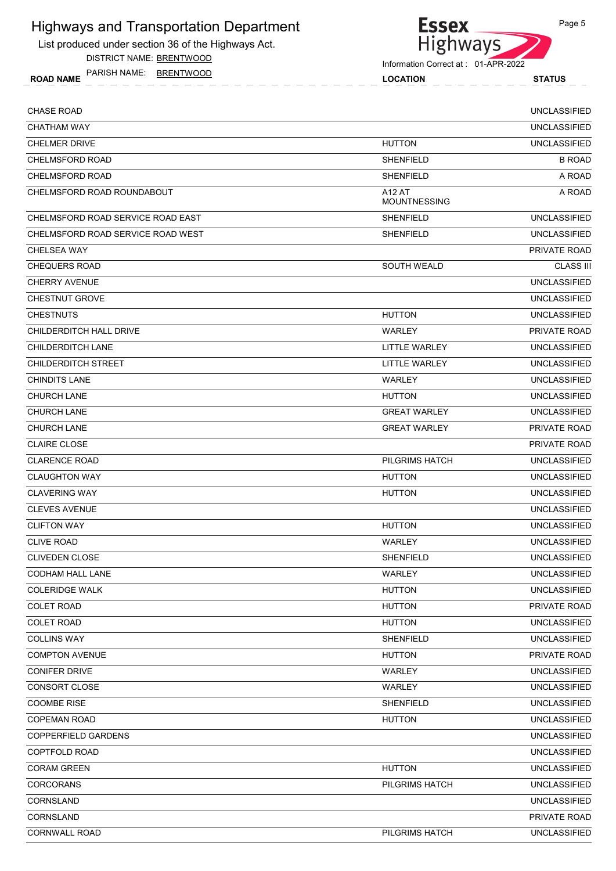List produced under section 36 of the Highways Act.

DISTRICT NAME: BRENTWOOD

ROAD NAME LOCATION STATUS PARISH NAME: BRENTWOOD



Information Correct at : 01-APR-2022

| <b>CHASE ROAD</b>                 |                                      | <b>UNCLASSIFIED</b> |
|-----------------------------------|--------------------------------------|---------------------|
| <b>CHATHAM WAY</b>                |                                      | <b>UNCLASSIFIED</b> |
| <b>CHELMER DRIVE</b>              | <b>HUTTON</b>                        | <b>UNCLASSIFIED</b> |
| <b>CHELMSFORD ROAD</b>            | <b>SHENFIELD</b>                     | <b>B ROAD</b>       |
| <b>CHELMSFORD ROAD</b>            | <b>SHENFIELD</b>                     | A ROAD              |
| CHELMSFORD ROAD ROUNDABOUT        | <b>A12 AT</b><br><b>MOUNTNESSING</b> | A ROAD              |
| CHELMSFORD ROAD SERVICE ROAD EAST | <b>SHENFIELD</b>                     | <b>UNCLASSIFIED</b> |
| CHELMSFORD ROAD SERVICE ROAD WEST | <b>SHENFIELD</b>                     | <b>UNCLASSIFIED</b> |
| <b>CHELSEA WAY</b>                |                                      | PRIVATE ROAD        |
| <b>CHEQUERS ROAD</b>              | SOUTH WEALD                          | <b>CLASS III</b>    |
| <b>CHERRY AVENUE</b>              |                                      | <b>UNCLASSIFIED</b> |
| <b>CHESTNUT GROVE</b>             |                                      | <b>UNCLASSIFIED</b> |
| <b>CHESTNUTS</b>                  | <b>HUTTON</b>                        | <b>UNCLASSIFIED</b> |
| CHILDERDITCH HALL DRIVE           | WARLEY                               | PRIVATE ROAD        |
| CHILDERDITCH LANE                 | <b>LITTLE WARLEY</b>                 | <b>UNCLASSIFIED</b> |
| <b>CHILDERDITCH STREET</b>        | LITTLE WARLEY                        | <b>UNCLASSIFIED</b> |
| <b>CHINDITS LANE</b>              | WARLEY                               | <b>UNCLASSIFIED</b> |
| <b>CHURCH LANE</b>                | <b>HUTTON</b>                        | <b>UNCLASSIFIED</b> |
| <b>CHURCH LANE</b>                | <b>GREAT WARLEY</b>                  | <b>UNCLASSIFIED</b> |
| <b>CHURCH LANE</b>                | <b>GREAT WARLEY</b>                  | PRIVATE ROAD        |
| <b>CLAIRE CLOSE</b>               |                                      | PRIVATE ROAD        |
| <b>CLARENCE ROAD</b>              | PILGRIMS HATCH                       | <b>UNCLASSIFIED</b> |
| <b>CLAUGHTON WAY</b>              | <b>HUTTON</b>                        | <b>UNCLASSIFIED</b> |
| <b>CLAVERING WAY</b>              | <b>HUTTON</b>                        | <b>UNCLASSIFIED</b> |
| <b>CLEVES AVENUE</b>              |                                      | <b>UNCLASSIFIED</b> |
| <b>CLIFTON WAY</b>                | <b>HUTTON</b>                        | <b>UNCLASSIFIED</b> |
| <b>CLIVE ROAD</b>                 | WARLEY                               | <b>UNCLASSIFIED</b> |
| <b>CLIVEDEN CLOSE</b>             | <b>SHENFIELD</b>                     | <b>UNCLASSIFIED</b> |
| CODHAM HALL LANE                  | WARLEY                               | <b>UNCLASSIFIED</b> |
| <b>COLERIDGE WALK</b>             | <b>HUTTON</b>                        | <b>UNCLASSIFIED</b> |
| <b>COLET ROAD</b>                 | <b>HUTTON</b>                        | PRIVATE ROAD        |
| <b>COLET ROAD</b>                 | <b>HUTTON</b>                        | <b>UNCLASSIFIED</b> |
| <b>COLLINS WAY</b>                | <b>SHENFIELD</b>                     | <b>UNCLASSIFIED</b> |
| <b>COMPTON AVENUE</b>             | <b>HUTTON</b>                        | PRIVATE ROAD        |
| <b>CONIFER DRIVE</b>              | WARLEY                               | <b>UNCLASSIFIED</b> |
| CONSORT CLOSE                     | WARLEY                               | <b>UNCLASSIFIED</b> |
| <b>COOMBE RISE</b>                | <b>SHENFIELD</b>                     | <b>UNCLASSIFIED</b> |
| <b>COPEMAN ROAD</b>               | <b>HUTTON</b>                        | <b>UNCLASSIFIED</b> |
| COPPERFIELD GARDENS               |                                      | <b>UNCLASSIFIED</b> |
| COPTFOLD ROAD                     |                                      | <b>UNCLASSIFIED</b> |
| <b>CORAM GREEN</b>                | <b>HUTTON</b>                        | <b>UNCLASSIFIED</b> |
| <b>CORCORANS</b>                  | PILGRIMS HATCH                       | <b>UNCLASSIFIED</b> |
| CORNSLAND                         |                                      | <b>UNCLASSIFIED</b> |
| CORNSLAND                         |                                      | PRIVATE ROAD        |
| <b>CORNWALL ROAD</b>              | PILGRIMS HATCH                       | <b>UNCLASSIFIED</b> |
|                                   |                                      |                     |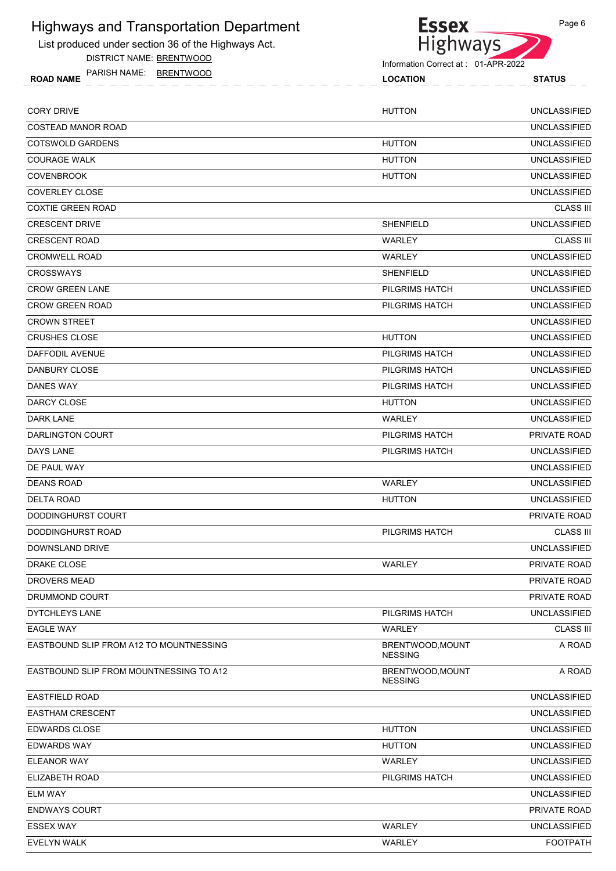List produced under section 36 of the Highways Act.

DISTRICT NAME: BRENTWOOD



Page 6

Information Correct at : 01-APR-2022

ROAD NAME LOCATION STATUS PARISH NAME: BRENTWOOD

| <b>CORY DRIVE</b>                       | <b>HUTTON</b>                      | <b>UNCLASSIFIED</b> |
|-----------------------------------------|------------------------------------|---------------------|
| <b>COSTEAD MANOR ROAD</b>               |                                    | <b>UNCLASSIFIED</b> |
| COTSWOLD GARDENS                        | <b>HUTTON</b>                      | <b>UNCLASSIFIED</b> |
| <b>COURAGE WALK</b>                     | <b>HUTTON</b>                      | <b>UNCLASSIFIED</b> |
| <b>COVENBROOK</b>                       | <b>HUTTON</b>                      | <b>UNCLASSIFIED</b> |
| <b>COVERLEY CLOSE</b>                   |                                    | <b>UNCLASSIFIED</b> |
| <b>COXTIE GREEN ROAD</b>                |                                    | <b>CLASS III</b>    |
| <b>CRESCENT DRIVE</b>                   | <b>SHENFIELD</b>                   | <b>UNCLASSIFIED</b> |
| <b>CRESCENT ROAD</b>                    | WARLEY                             | <b>CLASS III</b>    |
| <b>CROMWELL ROAD</b>                    | <b>WARLEY</b>                      | <b>UNCLASSIFIED</b> |
| <b>CROSSWAYS</b>                        | <b>SHENFIELD</b>                   | <b>UNCLASSIFIED</b> |
| <b>CROW GREEN LANE</b>                  | PILGRIMS HATCH                     | <b>UNCLASSIFIED</b> |
| <b>CROW GREEN ROAD</b>                  | PILGRIMS HATCH                     | <b>UNCLASSIFIED</b> |
| <b>CROWN STREET</b>                     |                                    | <b>UNCLASSIFIED</b> |
| <b>CRUSHES CLOSE</b>                    | <b>HUTTON</b>                      | <b>UNCLASSIFIED</b> |
| <b>DAFFODIL AVENUE</b>                  | PILGRIMS HATCH                     | <b>UNCLASSIFIED</b> |
| DANBURY CLOSE                           | PILGRIMS HATCH                     | <b>UNCLASSIFIED</b> |
| <b>DANES WAY</b>                        | PILGRIMS HATCH                     | <b>UNCLASSIFIED</b> |
| DARCY CLOSE                             | <b>HUTTON</b>                      | <b>UNCLASSIFIED</b> |
| <b>DARK LANE</b>                        | WARLEY                             | <b>UNCLASSIFIED</b> |
| DARLINGTON COURT                        | PILGRIMS HATCH                     | PRIVATE ROAD        |
| <b>DAYS LANE</b>                        | PILGRIMS HATCH                     | <b>UNCLASSIFIED</b> |
| DE PAUL WAY                             |                                    | <b>UNCLASSIFIED</b> |
| <b>DEANS ROAD</b>                       | WARLEY                             | <b>UNCLASSIFIED</b> |
| <b>DELTA ROAD</b>                       | <b>HUTTON</b>                      | <b>UNCLASSIFIED</b> |
| DODDINGHURST COURT                      |                                    | PRIVATE ROAD        |
| DODDINGHURST ROAD                       | <b>PILGRIMS HATCH</b>              | <b>CLASS III</b>    |
| DOWNSLAND DRIVE                         |                                    | <b>UNCLASSIFIED</b> |
| DRAKE CLOSE                             | WARLEY                             | PRIVATE ROAD        |
| <b>DROVERS MEAD</b>                     |                                    | PRIVATE ROAD        |
| DRUMMOND COURT                          |                                    | PRIVATE ROAD        |
| DYTCHLEYS LANE                          | PILGRIMS HATCH                     | <b>UNCLASSIFIED</b> |
| <b>EAGLE WAY</b>                        | WARLEY                             | <b>CLASS III</b>    |
| EASTBOUND SLIP FROM A12 TO MOUNTNESSING | BRENTWOOD, MOUNT<br><b>NESSING</b> | A ROAD              |
| EASTBOUND SLIP FROM MOUNTNESSING TO A12 | BRENTWOOD, MOUNT<br><b>NESSING</b> | A ROAD              |
| <b>EASTFIELD ROAD</b>                   |                                    | <b>UNCLASSIFIED</b> |
| <b>EASTHAM CRESCENT</b>                 |                                    | <b>UNCLASSIFIED</b> |
| <b>EDWARDS CLOSE</b>                    | <b>HUTTON</b>                      | <b>UNCLASSIFIED</b> |
| <b>EDWARDS WAY</b>                      | <b>HUTTON</b>                      | <b>UNCLASSIFIED</b> |
| ELEANOR WAY                             | WARLEY                             | <b>UNCLASSIFIED</b> |
| ELIZABETH ROAD                          | PILGRIMS HATCH                     | <b>UNCLASSIFIED</b> |
| <b>ELM WAY</b>                          |                                    | <b>UNCLASSIFIED</b> |
| <b>ENDWAYS COURT</b>                    |                                    | PRIVATE ROAD        |
| <b>ESSEX WAY</b>                        | WARLEY                             | <b>UNCLASSIFIED</b> |
| EVELYN WALK                             | WARLEY                             | <b>FOOTPATH</b>     |
|                                         |                                    |                     |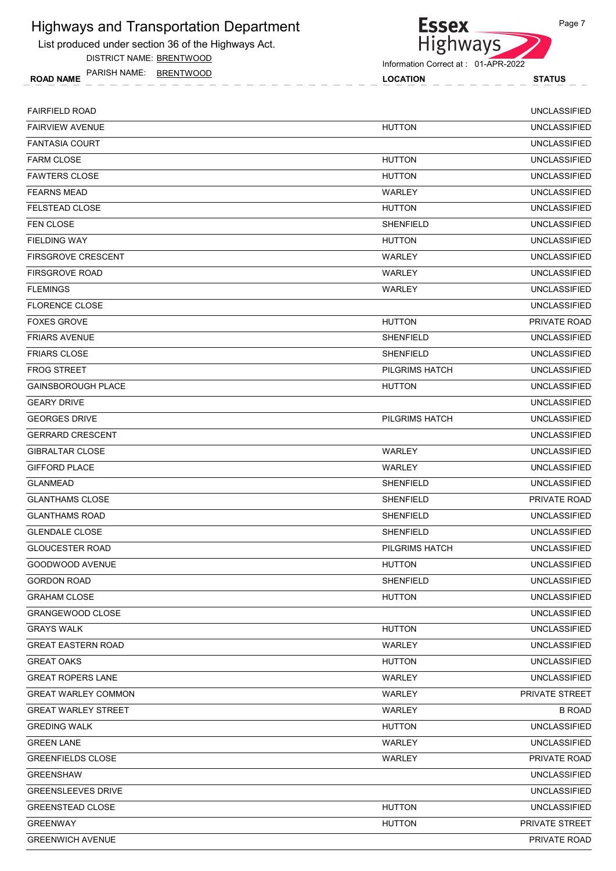List produced under section 36 of the Highways Act.

DISTRICT NAME: BRENTWOOD

ROAD NAME LOCATION STATUS PARISH NAME: BRENTWOOD



| <b>FAIRFIELD ROAD</b>      |                  | <b>UNCLASSIFIED</b> |
|----------------------------|------------------|---------------------|
| <b>FAIRVIEW AVENUE</b>     | <b>HUTTON</b>    | <b>UNCLASSIFIED</b> |
| <b>FANTASIA COURT</b>      |                  | <b>UNCLASSIFIED</b> |
| <b>FARM CLOSE</b>          | <b>HUTTON</b>    | <b>UNCLASSIFIED</b> |
| <b>FAWTERS CLOSE</b>       | <b>HUTTON</b>    | <b>UNCLASSIFIED</b> |
| <b>FEARNS MEAD</b>         | WARLEY           | <b>UNCLASSIFIED</b> |
| FELSTEAD CLOSE             | <b>HUTTON</b>    | <b>UNCLASSIFIED</b> |
| <b>FEN CLOSE</b>           | <b>SHENFIELD</b> | <b>UNCLASSIFIED</b> |
| <b>FIELDING WAY</b>        | <b>HUTTON</b>    | <b>UNCLASSIFIED</b> |
| <b>FIRSGROVE CRESCENT</b>  | WARLEY           | <b>UNCLASSIFIED</b> |
| <b>FIRSGROVE ROAD</b>      | WARLEY           | <b>UNCLASSIFIED</b> |
| <b>FLEMINGS</b>            | WARLEY           | <b>UNCLASSIFIED</b> |
| <b>FLORENCE CLOSE</b>      |                  | <b>UNCLASSIFIED</b> |
| <b>FOXES GROVE</b>         | <b>HUTTON</b>    | PRIVATE ROAD        |
| <b>FRIARS AVENUE</b>       | <b>SHENFIELD</b> | <b>UNCLASSIFIED</b> |
| <b>FRIARS CLOSE</b>        | <b>SHENFIELD</b> | <b>UNCLASSIFIED</b> |
| <b>FROG STREET</b>         | PILGRIMS HATCH   | <b>UNCLASSIFIED</b> |
| <b>GAINSBOROUGH PLACE</b>  | <b>HUTTON</b>    | <b>UNCLASSIFIED</b> |
| <b>GEARY DRIVE</b>         |                  | <b>UNCLASSIFIED</b> |
| <b>GEORGES DRIVE</b>       | PILGRIMS HATCH   | <b>UNCLASSIFIED</b> |
| <b>GERRARD CRESCENT</b>    |                  | <b>UNCLASSIFIED</b> |
| <b>GIBRALTAR CLOSE</b>     | <b>WARLEY</b>    | <b>UNCLASSIFIED</b> |
| <b>GIFFORD PLACE</b>       | WARLEY           | <b>UNCLASSIFIED</b> |
| <b>GLANMEAD</b>            | <b>SHENFIELD</b> | <b>UNCLASSIFIED</b> |
| <b>GLANTHAMS CLOSE</b>     | <b>SHENFIELD</b> | PRIVATE ROAD        |
| <b>GLANTHAMS ROAD</b>      | <b>SHENFIELD</b> | <b>UNCLASSIFIED</b> |
| <b>GLENDALE CLOSE</b>      | <b>SHENFIELD</b> | <b>UNCLASSIFIED</b> |
| <b>GLOUCESTER ROAD</b>     | PILGRIMS HATCH   | <b>UNCLASSIFIED</b> |
| GOODWOOD AVENUE            | <b>HUTTON</b>    | <b>UNCLASSIFIED</b> |
| <b>GORDON ROAD</b>         | <b>SHENFIELD</b> | <b>UNCLASSIFIED</b> |
| <b>GRAHAM CLOSE</b>        | <b>HUTTON</b>    | <b>UNCLASSIFIED</b> |
| <b>GRANGEWOOD CLOSE</b>    |                  | <b>UNCLASSIFIED</b> |
| <b>GRAYS WALK</b>          | <b>HUTTON</b>    | <b>UNCLASSIFIED</b> |
| <b>GREAT EASTERN ROAD</b>  | WARLEY           | <b>UNCLASSIFIED</b> |
| <b>GREAT OAKS</b>          | <b>HUTTON</b>    | <b>UNCLASSIFIED</b> |
| <b>GREAT ROPERS LANE</b>   | WARLEY           | <b>UNCLASSIFIED</b> |
| <b>GREAT WARLEY COMMON</b> | WARLEY           | PRIVATE STREET      |
| <b>GREAT WARLEY STREET</b> | WARLEY           | <b>B ROAD</b>       |
| <b>GREDING WALK</b>        | <b>HUTTON</b>    | <b>UNCLASSIFIED</b> |
| <b>GREEN LANE</b>          | WARLEY           | <b>UNCLASSIFIED</b> |
| <b>GREENFIELDS CLOSE</b>   | WARLEY           | PRIVATE ROAD        |
| <b>GREENSHAW</b>           |                  | <b>UNCLASSIFIED</b> |
| <b>GREENSLEEVES DRIVE</b>  |                  | <b>UNCLASSIFIED</b> |
| <b>GREENSTEAD CLOSE</b>    | <b>HUTTON</b>    | <b>UNCLASSIFIED</b> |
| <b>GREENWAY</b>            | <b>HUTTON</b>    | PRIVATE STREET      |
| <b>GREENWICH AVENUE</b>    |                  | PRIVATE ROAD        |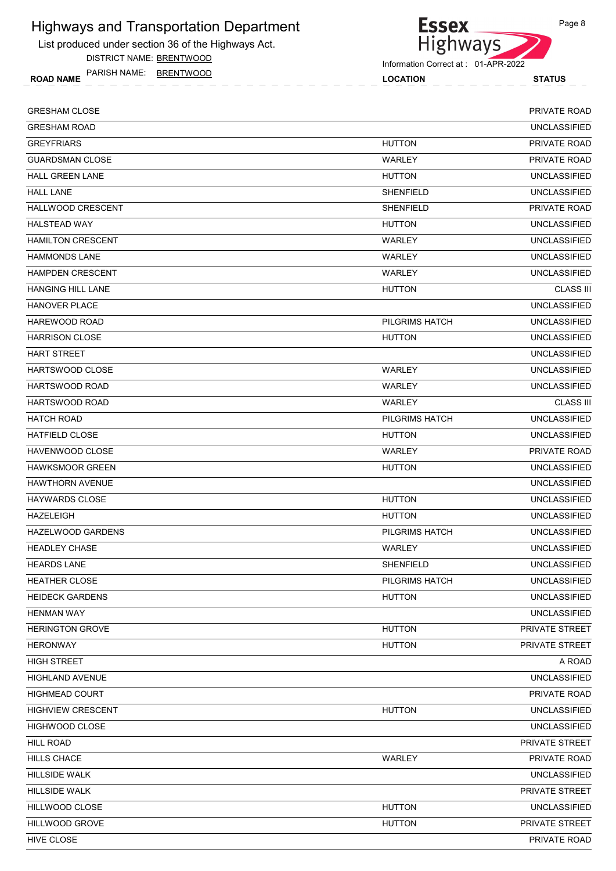List produced under section 36 of the Highways Act.

DISTRICT NAME: BRENTWOOD

ROAD NAME LOCATION STATUS PARISH NAME: BRENTWOOD



Information Correct at : 01-APR-2022

| <b>GRESHAM CLOSE</b>     |                  | <b>PRIVATE ROAD</b> |
|--------------------------|------------------|---------------------|
| <b>GRESHAM ROAD</b>      |                  | <b>UNCLASSIFIED</b> |
| <b>GREYFRIARS</b>        | <b>HUTTON</b>    | <b>PRIVATE ROAD</b> |
| <b>GUARDSMAN CLOSE</b>   | WARLEY           | PRIVATE ROAD        |
| <b>HALL GREEN LANE</b>   | <b>HUTTON</b>    | <b>UNCLASSIFIED</b> |
| <b>HALL LANE</b>         | <b>SHENFIELD</b> | <b>UNCLASSIFIED</b> |
| HALLWOOD CRESCENT        | SHENFIELD        | PRIVATE ROAD        |
| <b>HALSTEAD WAY</b>      | <b>HUTTON</b>    | <b>UNCLASSIFIED</b> |
| <b>HAMILTON CRESCENT</b> | WARLEY           | <b>UNCLASSIFIED</b> |
| <b>HAMMONDS LANE</b>     | WARLEY           | <b>UNCLASSIFIED</b> |
| <b>HAMPDEN CRESCENT</b>  | WARLEY           | <b>UNCLASSIFIED</b> |
| <b>HANGING HILL LANE</b> | <b>HUTTON</b>    | <b>CLASS III</b>    |
| <b>HANOVER PLACE</b>     |                  | <b>UNCLASSIFIED</b> |
| HAREWOOD ROAD            | PILGRIMS HATCH   | <b>UNCLASSIFIED</b> |
| <b>HARRISON CLOSE</b>    | <b>HUTTON</b>    | <b>UNCLASSIFIED</b> |
| <b>HART STREET</b>       |                  | <b>UNCLASSIFIED</b> |
| HARTSWOOD CLOSE          | WARLEY           | <b>UNCLASSIFIED</b> |
| HARTSWOOD ROAD           | WARLEY           | <b>UNCLASSIFIED</b> |
| HARTSWOOD ROAD           | WARLEY           | <b>CLASS III</b>    |
| <b>HATCH ROAD</b>        | PILGRIMS HATCH   | <b>UNCLASSIFIED</b> |
| <b>HATFIELD CLOSE</b>    | <b>HUTTON</b>    | <b>UNCLASSIFIED</b> |
| HAVENWOOD CLOSE          | WARLEY           | PRIVATE ROAD        |
| <b>HAWKSMOOR GREEN</b>   | <b>HUTTON</b>    | <b>UNCLASSIFIED</b> |
| <b>HAWTHORN AVENUE</b>   |                  | <b>UNCLASSIFIED</b> |
| <b>HAYWARDS CLOSE</b>    | <b>HUTTON</b>    | <b>UNCLASSIFIED</b> |
| <b>HAZELEIGH</b>         | <b>HUTTON</b>    | <b>UNCLASSIFIED</b> |
| <b>HAZELWOOD GARDENS</b> | PILGRIMS HATCH   | <b>UNCLASSIFIED</b> |
| <b>HEADLEY CHASE</b>     | WARLEY           | <b>UNCLASSIFIED</b> |
| <b>HEARDS LANE</b>       | <b>SHENFIELD</b> | <b>UNCLASSIFIED</b> |
| <b>HEATHER CLOSE</b>     | PILGRIMS HATCH   | <b>UNCLASSIFIED</b> |
| <b>HEIDECK GARDENS</b>   | <b>HUTTON</b>    | <b>UNCLASSIFIED</b> |
| <b>HENMAN WAY</b>        |                  | <b>UNCLASSIFIED</b> |
| <b>HERINGTON GROVE</b>   | <b>HUTTON</b>    | PRIVATE STREET      |
| <b>HERONWAY</b>          | <b>HUTTON</b>    | PRIVATE STREET      |
| <b>HIGH STREET</b>       |                  | A ROAD              |
| <b>HIGHLAND AVENUE</b>   |                  | <b>UNCLASSIFIED</b> |
| <b>HIGHMEAD COURT</b>    |                  | PRIVATE ROAD        |
| <b>HIGHVIEW CRESCENT</b> | <b>HUTTON</b>    | <b>UNCLASSIFIED</b> |
| <b>HIGHWOOD CLOSE</b>    |                  | <b>UNCLASSIFIED</b> |
| <b>HILL ROAD</b>         |                  | PRIVATE STREET      |
| <b>HILLS CHACE</b>       | WARLEY           | PRIVATE ROAD        |
| HILLSIDE WALK            |                  | <b>UNCLASSIFIED</b> |
| HILLSIDE WALK            |                  | PRIVATE STREET      |
| HILLWOOD CLOSE           | <b>HUTTON</b>    | <b>UNCLASSIFIED</b> |
| HILLWOOD GROVE           | <b>HUTTON</b>    | PRIVATE STREET      |
| HIVE CLOSE               |                  | PRIVATE ROAD        |
|                          |                  |                     |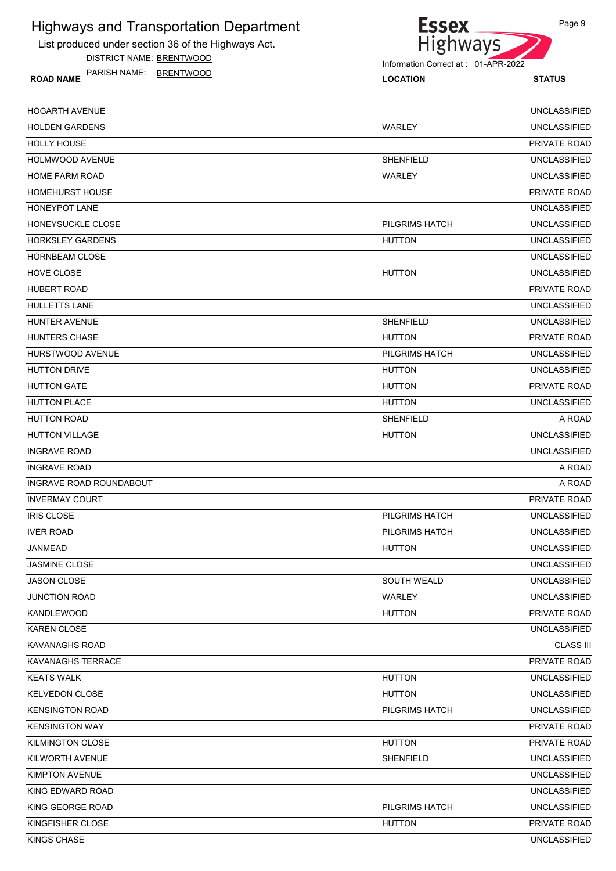List produced under section 36 of the Highways Act.

DISTRICT NAME: BRENTWOOD

ROAD NAME LOCATION STATUS PARISH NAME: BRENTWOOD



| <b>HOGARTH AVENUE</b>   |                    | <b>UNCLASSIFIED</b> |
|-------------------------|--------------------|---------------------|
| <b>HOLDEN GARDENS</b>   | WARLEY             | <b>UNCLASSIFIED</b> |
| <b>HOLLY HOUSE</b>      |                    | <b>PRIVATE ROAD</b> |
| <b>HOLMWOOD AVENUE</b>  | <b>SHENFIELD</b>   | <b>UNCLASSIFIED</b> |
| <b>HOME FARM ROAD</b>   | WARLEY             | <b>UNCLASSIFIED</b> |
| <b>HOMEHURST HOUSE</b>  |                    | PRIVATE ROAD        |
| <b>HONEYPOT LANE</b>    |                    | <b>UNCLASSIFIED</b> |
| HONEYSUCKLE CLOSE       | PILGRIMS HATCH     | <b>UNCLASSIFIED</b> |
| <b>HORKSLEY GARDENS</b> | <b>HUTTON</b>      | <b>UNCLASSIFIED</b> |
| <b>HORNBEAM CLOSE</b>   |                    | <b>UNCLASSIFIED</b> |
| HOVE CLOSE              | <b>HUTTON</b>      | <b>UNCLASSIFIED</b> |
| <b>HUBERT ROAD</b>      |                    | PRIVATE ROAD        |
| <b>HULLETTS LANE</b>    |                    | <b>UNCLASSIFIED</b> |
| HUNTER AVENUE           | <b>SHENFIELD</b>   | <b>UNCLASSIFIED</b> |
| <b>HUNTERS CHASE</b>    | <b>HUTTON</b>      | <b>PRIVATE ROAD</b> |
| HURSTWOOD AVENUE        | PILGRIMS HATCH     | <b>UNCLASSIFIED</b> |
| <b>HUTTON DRIVE</b>     | <b>HUTTON</b>      | <b>UNCLASSIFIED</b> |
| <b>HUTTON GATE</b>      | <b>HUTTON</b>      | <b>PRIVATE ROAD</b> |
| <b>HUTTON PLACE</b>     | <b>HUTTON</b>      | <b>UNCLASSIFIED</b> |
| <b>HUTTON ROAD</b>      | SHENFIELD          | A ROAD              |
| <b>HUTTON VILLAGE</b>   | <b>HUTTON</b>      | <b>UNCLASSIFIED</b> |
| <b>INGRAVE ROAD</b>     |                    | <b>UNCLASSIFIED</b> |
| <b>INGRAVE ROAD</b>     |                    | A ROAD              |
| INGRAVE ROAD ROUNDABOUT |                    | A ROAD              |
| <b>INVERMAY COURT</b>   |                    | PRIVATE ROAD        |
| <b>IRIS CLOSE</b>       | PILGRIMS HATCH     | <b>UNCLASSIFIED</b> |
| <b>IVER ROAD</b>        | PILGRIMS HATCH     | <b>UNCLASSIFIED</b> |
| JANMEAD                 | <b>HUTTON</b>      | <b>UNCLASSIFIED</b> |
| <b>JASMINE CLOSE</b>    |                    | <b>UNCLASSIFIED</b> |
| <b>JASON CLOSE</b>      | <b>SOUTH WEALD</b> | <b>UNCLASSIFIED</b> |
| <b>JUNCTION ROAD</b>    | WARLEY             | <b>UNCLASSIFIED</b> |
| <b>KANDLEWOOD</b>       | <b>HUTTON</b>      | PRIVATE ROAD        |
| <b>KAREN CLOSE</b>      |                    | <b>UNCLASSIFIED</b> |
| <b>KAVANAGHS ROAD</b>   |                    | <b>CLASS III</b>    |
| KAVANAGHS TERRACE       |                    | PRIVATE ROAD        |
| <b>KEATS WALK</b>       | <b>HUTTON</b>      | <b>UNCLASSIFIED</b> |
| <b>KELVEDON CLOSE</b>   | <b>HUTTON</b>      | <b>UNCLASSIFIED</b> |
| <b>KENSINGTON ROAD</b>  | PILGRIMS HATCH     | <b>UNCLASSIFIED</b> |
| <b>KENSINGTON WAY</b>   |                    | PRIVATE ROAD        |
| KILMINGTON CLOSE        | <b>HUTTON</b>      | PRIVATE ROAD        |
| KILWORTH AVENUE         | SHENFIELD          | <b>UNCLASSIFIED</b> |
| <b>KIMPTON AVENUE</b>   |                    | <b>UNCLASSIFIED</b> |
| KING EDWARD ROAD        |                    | <b>UNCLASSIFIED</b> |
| KING GEORGE ROAD        | PILGRIMS HATCH     | <b>UNCLASSIFIED</b> |
| KINGFISHER CLOSE        | <b>HUTTON</b>      | PRIVATE ROAD        |
| KINGS CHASE             |                    | <b>UNCLASSIFIED</b> |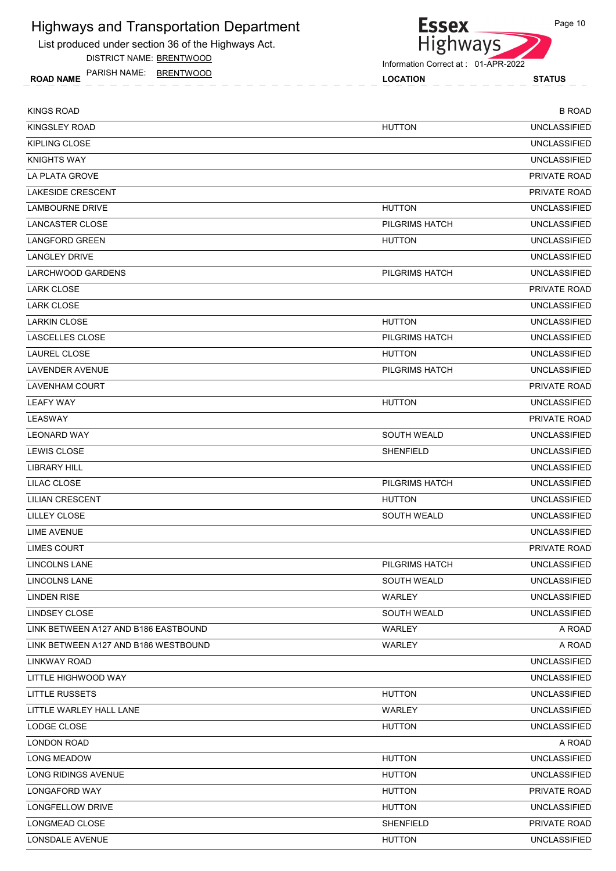List produced under section 36 of the Highways Act.

DISTRICT NAME: BRENTWOOD

ROAD NAME LOCATION STATUS PARISH NAME: BRENTWOOD

Highways

Information Correct at : 01-APR-2022

**Essex** 

| KINGS ROAD                           |                    | <b>B ROAD</b>       |
|--------------------------------------|--------------------|---------------------|
| KINGSLEY ROAD                        | <b>HUTTON</b>      | <b>UNCLASSIFIED</b> |
| <b>KIPLING CLOSE</b>                 |                    | <b>UNCLASSIFIED</b> |
| <b>KNIGHTS WAY</b>                   |                    | <b>UNCLASSIFIED</b> |
| LA PLATA GROVE                       |                    | <b>PRIVATE ROAD</b> |
| <b>LAKESIDE CRESCENT</b>             |                    | <b>PRIVATE ROAD</b> |
| LAMBOURNE DRIVE                      | <b>HUTTON</b>      | <b>UNCLASSIFIED</b> |
| <b>LANCASTER CLOSE</b>               | PILGRIMS HATCH     | <b>UNCLASSIFIED</b> |
| <b>LANGFORD GREEN</b>                | <b>HUTTON</b>      | <b>UNCLASSIFIED</b> |
| <b>LANGLEY DRIVE</b>                 |                    | <b>UNCLASSIFIED</b> |
| LARCHWOOD GARDENS                    | PILGRIMS HATCH     | <b>UNCLASSIFIED</b> |
| <b>LARK CLOSE</b>                    |                    | PRIVATE ROAD        |
| <b>LARK CLOSE</b>                    |                    | <b>UNCLASSIFIED</b> |
| <b>LARKIN CLOSE</b>                  | <b>HUTTON</b>      | <b>UNCLASSIFIED</b> |
| <b>LASCELLES CLOSE</b>               | PILGRIMS HATCH     | <b>UNCLASSIFIED</b> |
| LAUREL CLOSE                         | <b>HUTTON</b>      | <b>UNCLASSIFIED</b> |
| <b>LAVENDER AVENUE</b>               | PILGRIMS HATCH     | <b>UNCLASSIFIED</b> |
| LAVENHAM COURT                       |                    | <b>PRIVATE ROAD</b> |
| <b>LEAFY WAY</b>                     | <b>HUTTON</b>      | <b>UNCLASSIFIED</b> |
| LEASWAY                              |                    | PRIVATE ROAD        |
| <b>LEONARD WAY</b>                   | <b>SOUTH WEALD</b> | <b>UNCLASSIFIED</b> |
| LEWIS CLOSE                          | <b>SHENFIELD</b>   | <b>UNCLASSIFIED</b> |
| LIBRARY HILL                         |                    | <b>UNCLASSIFIED</b> |
| LILAC CLOSE                          | PILGRIMS HATCH     | <b>UNCLASSIFIED</b> |
| <b>LILIAN CRESCENT</b>               | <b>HUTTON</b>      | <b>UNCLASSIFIED</b> |
| LILLEY CLOSE                         | <b>SOUTH WEALD</b> | <b>UNCLASSIFIED</b> |
| <b>LIME AVENUE</b>                   |                    | <b>UNCLASSIFIED</b> |
| <b>LIMES COURT</b>                   |                    | PRIVATE ROAD        |
| LINCOLNS LANE                        | PILGRIMS HATCH     | <b>UNCLASSIFIED</b> |
| LINCOLNS LANE                        | <b>SOUTH WEALD</b> | <b>UNCLASSIFIED</b> |
| <b>LINDEN RISE</b>                   | <b>WARLEY</b>      | <b>UNCLASSIFIED</b> |
| LINDSEY CLOSE                        | <b>SOUTH WEALD</b> | <b>UNCLASSIFIED</b> |
| LINK BETWEEN A127 AND B186 EASTBOUND | WARLEY             | A ROAD              |
| LINK BETWEEN A127 AND B186 WESTBOUND | WARLEY             | A ROAD              |
| LINKWAY ROAD                         |                    | <b>UNCLASSIFIED</b> |
| LITTLE HIGHWOOD WAY                  |                    | <b>UNCLASSIFIED</b> |
| <b>LITTLE RUSSETS</b>                | <b>HUTTON</b>      | <b>UNCLASSIFIED</b> |
| LITTLE WARLEY HALL LANE              | WARLEY             | <b>UNCLASSIFIED</b> |
| LODGE CLOSE                          | <b>HUTTON</b>      | <b>UNCLASSIFIED</b> |
| LONDON ROAD                          |                    | A ROAD              |
| <b>LONG MEADOW</b>                   | <b>HUTTON</b>      | <b>UNCLASSIFIED</b> |
| LONG RIDINGS AVENUE                  | <b>HUTTON</b>      | <b>UNCLASSIFIED</b> |
| LONGAFORD WAY                        | <b>HUTTON</b>      | PRIVATE ROAD        |
| LONGFELLOW DRIVE                     | <b>HUTTON</b>      | <b>UNCLASSIFIED</b> |
| LONGMEAD CLOSE                       | <b>SHENFIELD</b>   | PRIVATE ROAD        |
| LONSDALE AVENUE                      | <b>HUTTON</b>      | <b>UNCLASSIFIED</b> |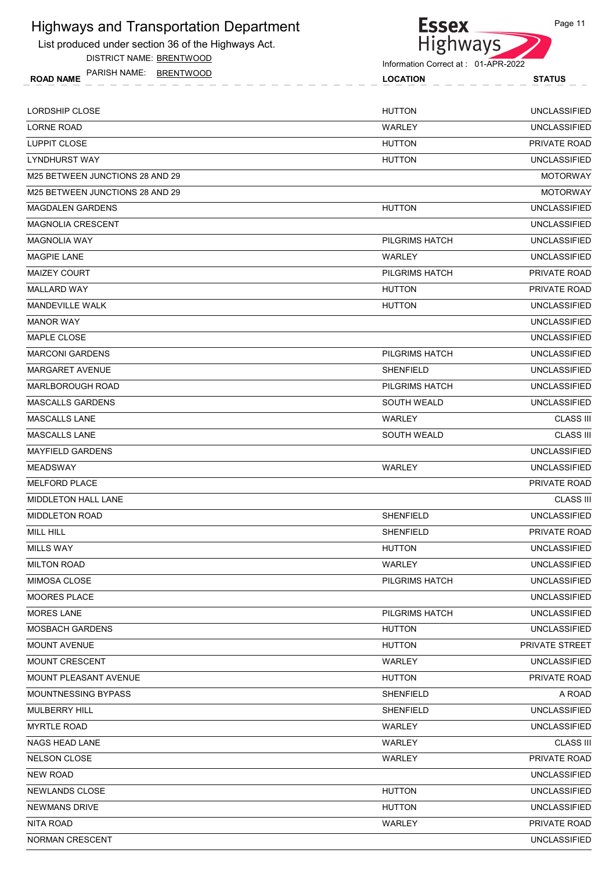List produced under section 36 of the Highways Act.

DISTRICT NAME: BRENTWOOD

Essex<br>Highways Information Correct at : 01-APR-2022

| PARISH NAME:<br>BRENTWOOD<br><b>ROAD NAME</b> | <b>LOCATION</b> | <b>STATUS</b>       |
|-----------------------------------------------|-----------------|---------------------|
| LORDSHIP CLOSE                                | <b>HUTTON</b>   | UNCLASSIFIED        |
| <b>LORNE ROAD</b>                             | WARLEY          | <b>UNCLASSIFIED</b> |
|                                               | .  .______      | _______             |

| <b>LUPPIT CLOSE</b>             | <b>HUTTON</b>         | PRIVATE ROAD        |
|---------------------------------|-----------------------|---------------------|
| <b>LYNDHURST WAY</b>            | <b>HUTTON</b>         | <b>UNCLASSIFIED</b> |
| M25 BETWEEN JUNCTIONS 28 AND 29 |                       | <b>MOTORWAY</b>     |
| M25 BETWEEN JUNCTIONS 28 AND 29 |                       | <b>MOTORWAY</b>     |
| <b>MAGDALEN GARDENS</b>         | <b>HUTTON</b>         | <b>UNCLASSIFIED</b> |
| <b>MAGNOLIA CRESCENT</b>        |                       | <b>UNCLASSIFIED</b> |
| <b>MAGNOLIA WAY</b>             | PILGRIMS HATCH        | <b>UNCLASSIFIED</b> |
| <b>MAGPIE LANE</b>              | WARLEY                | <b>UNCLASSIFIED</b> |
| <b>MAIZEY COURT</b>             | PILGRIMS HATCH        | PRIVATE ROAD        |
| MALLARD WAY                     | <b>HUTTON</b>         | PRIVATE ROAD        |
| <b>MANDEVILLE WALK</b>          | <b>HUTTON</b>         | <b>UNCLASSIFIED</b> |
| <b>MANOR WAY</b>                |                       | <b>UNCLASSIFIED</b> |
| MAPLE CLOSE                     |                       | <b>UNCLASSIFIED</b> |
| <b>MARCONI GARDENS</b>          | <b>PILGRIMS HATCH</b> | <b>UNCLASSIFIED</b> |
| <b>MARGARET AVENUE</b>          | <b>SHENFIELD</b>      | <b>UNCLASSIFIED</b> |
| <b>MARLBOROUGH ROAD</b>         | PILGRIMS HATCH        | <b>UNCLASSIFIED</b> |
| <b>MASCALLS GARDENS</b>         | <b>SOUTH WEALD</b>    | <b>UNCLASSIFIED</b> |
| <b>MASCALLS LANE</b>            | WARLEY                | <b>CLASS III</b>    |
| <b>MASCALLS LANE</b>            | <b>SOUTH WEALD</b>    | <b>CLASS III</b>    |
| <b>MAYFIELD GARDENS</b>         |                       | <b>UNCLASSIFIED</b> |
| <b>MEADSWAY</b>                 | WARLEY                | <b>UNCLASSIFIED</b> |
| <b>MELFORD PLACE</b>            |                       | PRIVATE ROAD        |
| <b>MIDDLETON HALL LANE</b>      |                       | <b>CLASS III</b>    |
| <b>MIDDLETON ROAD</b>           | <b>SHENFIELD</b>      | <b>UNCLASSIFIED</b> |
| MILL HILL                       | <b>SHENFIELD</b>      | PRIVATE ROAD        |
| <b>MILLS WAY</b>                | <b>HUTTON</b>         | <b>UNCLASSIFIED</b> |
| <b>MILTON ROAD</b>              | WARLEY                | <b>UNCLASSIFIED</b> |
| <b>MIMOSA CLOSE</b>             | PILGRIMS HATCH        | <b>UNCLASSIFIED</b> |
| MOORES PLACE                    |                       | UNCLASSIFIED        |
| <b>MORES LANE</b>               | PILGRIMS HATCH        | <b>UNCLASSIFIED</b> |
| <b>MOSBACH GARDENS</b>          | <b>HUTTON</b>         | UNCLASSIFIED        |
| <b>MOUNT AVENUE</b>             | <b>HUTTON</b>         | PRIVATE STREET      |
| <b>MOUNT CRESCENT</b>           | WARLEY                | <b>UNCLASSIFIED</b> |
| <b>MOUNT PLEASANT AVENUE</b>    | <b>HUTTON</b>         | PRIVATE ROAD        |
| <b>MOUNTNESSING BYPASS</b>      | <b>SHENFIELD</b>      | A ROAD              |
| <b>MULBERRY HILL</b>            | <b>SHENFIELD</b>      | <b>UNCLASSIFIED</b> |
| <b>MYRTLE ROAD</b>              | WARLEY                | <b>UNCLASSIFIED</b> |
| NAGS HEAD LANE                  | WARLEY                | <b>CLASS III</b>    |
| <b>NELSON CLOSE</b>             | WARLEY                | PRIVATE ROAD        |
| <b>NEW ROAD</b>                 |                       | <b>UNCLASSIFIED</b> |
| NEWLANDS CLOSE                  | <b>HUTTON</b>         | UNCLASSIFIED        |
| <b>NEWMANS DRIVE</b>            | <b>HUTTON</b>         | <b>UNCLASSIFIED</b> |
| NITA ROAD                       | WARLEY                | PRIVATE ROAD        |
| NORMAN CRESCENT                 |                       | <b>UNCLASSIFIED</b> |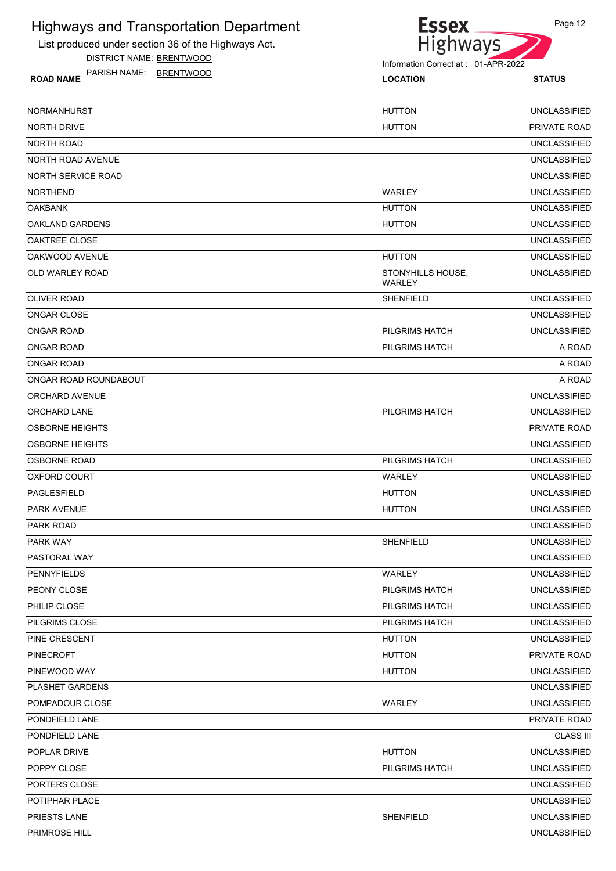List produced under section 36 of the Highways Act.

DISTRICT NAME: BRENTWOOD



Information Correct at : 01-APR-2022

ROAD NAME LOCATION STATUS PARISH NAME: BRENTWOOD

|  | STATUS |  |
|--|--------|--|
|  |        |  |
|  |        |  |

| NORMANHURST            | <b>HUTTON</b>               | <b>UNCLASSIFIED</b> |
|------------------------|-----------------------------|---------------------|
| <b>NORTH DRIVE</b>     | <b>HUTTON</b>               | PRIVATE ROAD        |
| NORTH ROAD             |                             | <b>UNCLASSIFIED</b> |
| NORTH ROAD AVENUE      |                             | <b>UNCLASSIFIED</b> |
| NORTH SERVICE ROAD     |                             | <b>UNCLASSIFIED</b> |
| <b>NORTHEND</b>        | WARLEY                      | <b>UNCLASSIFIED</b> |
| <b>OAKBANK</b>         | <b>HUTTON</b>               | <b>UNCLASSIFIED</b> |
| OAKLAND GARDENS        | <b>HUTTON</b>               | <b>UNCLASSIFIED</b> |
| OAKTREE CLOSE          |                             | <b>UNCLASSIFIED</b> |
| OAKWOOD AVENUE         | <b>HUTTON</b>               | <b>UNCLASSIFIED</b> |
| OLD WARLEY ROAD        | STONYHILLS HOUSE,<br>WARLEY | <b>UNCLASSIFIED</b> |
| <b>OLIVER ROAD</b>     | <b>SHENFIELD</b>            | <b>UNCLASSIFIED</b> |
| ONGAR CLOSE            |                             | <b>UNCLASSIFIED</b> |
| <b>ONGAR ROAD</b>      | PILGRIMS HATCH              | <b>UNCLASSIFIED</b> |
| <b>ONGAR ROAD</b>      | PILGRIMS HATCH              | A ROAD              |
| <b>ONGAR ROAD</b>      |                             | A ROAD              |
| ONGAR ROAD ROUNDABOUT  |                             | A ROAD              |
| ORCHARD AVENUE         |                             | <b>UNCLASSIFIED</b> |
| ORCHARD LANE           | PILGRIMS HATCH              | <b>UNCLASSIFIED</b> |
| <b>OSBORNE HEIGHTS</b> |                             | PRIVATE ROAD        |
| <b>OSBORNE HEIGHTS</b> |                             | <b>UNCLASSIFIED</b> |
| <b>OSBORNE ROAD</b>    | PILGRIMS HATCH              | <b>UNCLASSIFIED</b> |
| <b>OXFORD COURT</b>    | WARLEY                      | <b>UNCLASSIFIED</b> |
| <b>PAGLESFIELD</b>     | <b>HUTTON</b>               | <b>UNCLASSIFIED</b> |
| <b>PARK AVENUE</b>     | <b>HUTTON</b>               | <b>UNCLASSIFIED</b> |
| <b>PARK ROAD</b>       |                             | <b>UNCLASSIFIED</b> |
| PARK WAY               | <b>SHENFIELD</b>            | <b>UNCLASSIFIED</b> |
| PASTORAL WAY           |                             | <b>UNCLASSIFIED</b> |
| PENNYFIELDS            | WARLEY                      | <b>UNCLASSIFIED</b> |
| PEONY CLOSE            | PILGRIMS HATCH              | <b>UNCLASSIFIED</b> |
| PHILIP CLOSE           | PILGRIMS HATCH              | <b>UNCLASSIFIED</b> |
| <b>PILGRIMS CLOSE</b>  | PILGRIMS HATCH              | <b>UNCLASSIFIED</b> |
| PINE CRESCENT          | <b>HUTTON</b>               | <b>UNCLASSIFIED</b> |
| <b>PINECROFT</b>       | <b>HUTTON</b>               | PRIVATE ROAD        |
| PINEWOOD WAY           | <b>HUTTON</b>               | <b>UNCLASSIFIED</b> |
| PLASHET GARDENS        |                             | <b>UNCLASSIFIED</b> |
| POMPADOUR CLOSE        | WARLEY                      | <b>UNCLASSIFIED</b> |
| PONDFIELD LANE         |                             | PRIVATE ROAD        |
| PONDFIELD LANE         |                             | <b>CLASS III</b>    |
| POPLAR DRIVE           | <b>HUTTON</b>               | <b>UNCLASSIFIED</b> |
| POPPY CLOSE            | PILGRIMS HATCH              | <b>UNCLASSIFIED</b> |
| PORTERS CLOSE          |                             | <b>UNCLASSIFIED</b> |
| POTIPHAR PLACE         |                             | <b>UNCLASSIFIED</b> |
| PRIESTS LANE           | SHENFIELD                   | <b>UNCLASSIFIED</b> |
| PRIMROSE HILL          |                             | <b>UNCLASSIFIED</b> |
|                        |                             |                     |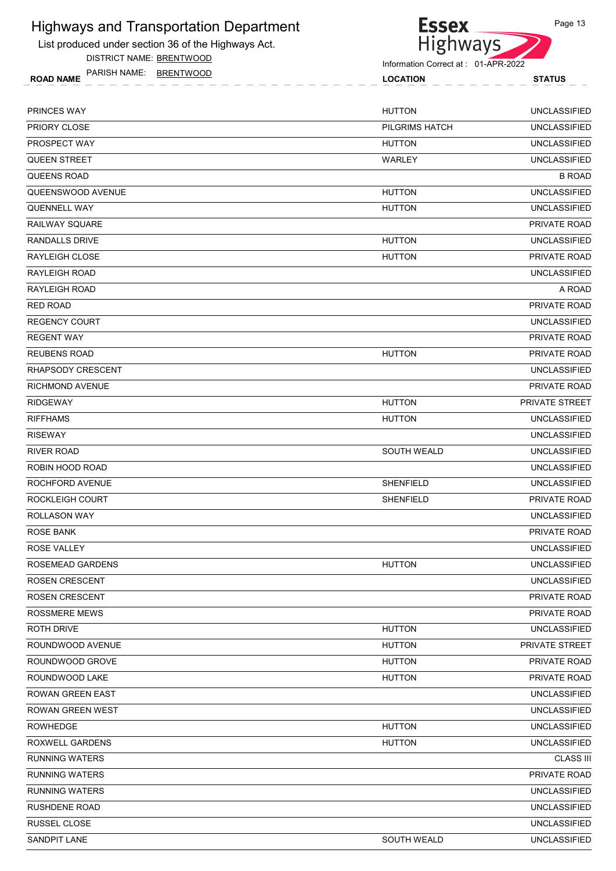List produced under section 36 of the Highways Act.

DISTRICT NAME: BRENTWOOD

Essex<br>Highways

Page 13

|                 | PARISH NAME: | <b>BRENIW</b> |
|-----------------|--------------|---------------|
| <b>)AD NAME</b> |              |               |

| <b>NAME</b><br><b>ROAD</b> | JAM. | <b>RRENTWO</b> |  |
|----------------------------|------|----------------|--|
|                            |      |                |  |

| PRINCES WAY             | <b>HUTTON</b>      | <b>UNCLASSIFIED</b> |
|-------------------------|--------------------|---------------------|
| PRIORY CLOSE            | PILGRIMS HATCH     | <b>UNCLASSIFIED</b> |
| PROSPECT WAY            | <b>HUTTON</b>      | <b>UNCLASSIFIED</b> |
| <b>QUEEN STREET</b>     | WARLEY             | <b>UNCLASSIFIED</b> |
| <b>QUEENS ROAD</b>      |                    | <b>B ROAD</b>       |
| QUEENSWOOD AVENUE       | <b>HUTTON</b>      | <b>UNCLASSIFIED</b> |
| QUENNELL WAY            | <b>HUTTON</b>      | <b>UNCLASSIFIED</b> |
| <b>RAILWAY SQUARE</b>   |                    | PRIVATE ROAD        |
| <b>RANDALLS DRIVE</b>   | <b>HUTTON</b>      | <b>UNCLASSIFIED</b> |
| RAYLEIGH CLOSE          | <b>HUTTON</b>      | PRIVATE ROAD        |
| <b>RAYLEIGH ROAD</b>    |                    | <b>UNCLASSIFIED</b> |
| <b>RAYLEIGH ROAD</b>    |                    | A ROAD              |
| <b>RED ROAD</b>         |                    | PRIVATE ROAD        |
| <b>REGENCY COURT</b>    |                    | <b>UNCLASSIFIED</b> |
| <b>REGENT WAY</b>       |                    | PRIVATE ROAD        |
| <b>REUBENS ROAD</b>     | <b>HUTTON</b>      | PRIVATE ROAD        |
| RHAPSODY CRESCENT       |                    | <b>UNCLASSIFIED</b> |
| <b>RICHMOND AVENUE</b>  |                    | PRIVATE ROAD        |
| <b>RIDGEWAY</b>         | <b>HUTTON</b>      | PRIVATE STREET      |
| <b>RIFFHAMS</b>         | <b>HUTTON</b>      | <b>UNCLASSIFIED</b> |
| <b>RISEWAY</b>          |                    | <b>UNCLASSIFIED</b> |
| <b>RIVER ROAD</b>       | <b>SOUTH WEALD</b> | <b>UNCLASSIFIED</b> |
| ROBIN HOOD ROAD         |                    | <b>UNCLASSIFIED</b> |
| ROCHFORD AVENUE         | <b>SHENFIELD</b>   | <b>UNCLASSIFIED</b> |
| ROCKLEIGH COURT         | <b>SHENFIELD</b>   | PRIVATE ROAD        |
| <b>ROLLASON WAY</b>     |                    | <b>UNCLASSIFIED</b> |
| <b>ROSE BANK</b>        |                    | PRIVATE ROAD        |
| <b>ROSE VALLEY</b>      |                    | <b>UNCLASSIFIED</b> |
| ROSEMEAD GARDENS        | <b>HUTTON</b>      | <b>UNCLASSIFIED</b> |
| <b>ROSEN CRESCENT</b>   |                    | <b>UNCLASSIFIED</b> |
| <b>ROSEN CRESCENT</b>   |                    | PRIVATE ROAD        |
| <b>ROSSMERE MEWS</b>    |                    | PRIVATE ROAD        |
| <b>ROTH DRIVE</b>       | <b>HUTTON</b>      | <b>UNCLASSIFIED</b> |
| ROUNDWOOD AVENUE        | <b>HUTTON</b>      | PRIVATE STREET      |
| ROUNDWOOD GROVE         | <b>HUTTON</b>      | PRIVATE ROAD        |
| ROUNDWOOD LAKE          | <b>HUTTON</b>      | PRIVATE ROAD        |
| <b>ROWAN GREEN EAST</b> |                    | <b>UNCLASSIFIED</b> |
| ROWAN GREEN WEST        |                    | <b>UNCLASSIFIED</b> |
| <b>ROWHEDGE</b>         | <b>HUTTON</b>      | <b>UNCLASSIFIED</b> |
| <b>ROXWELL GARDENS</b>  | <b>HUTTON</b>      | <b>UNCLASSIFIED</b> |
| <b>RUNNING WATERS</b>   |                    | <b>CLASS III</b>    |
| <b>RUNNING WATERS</b>   |                    | PRIVATE ROAD        |
| <b>RUNNING WATERS</b>   |                    | <b>UNCLASSIFIED</b> |
| <b>RUSHDENE ROAD</b>    |                    | <b>UNCLASSIFIED</b> |
| RUSSEL CLOSE            |                    | <b>UNCLASSIFIED</b> |
| <b>SANDPIT LANE</b>     | <b>SOUTH WEALD</b> | UNCLASSIFIED        |
|                         |                    |                     |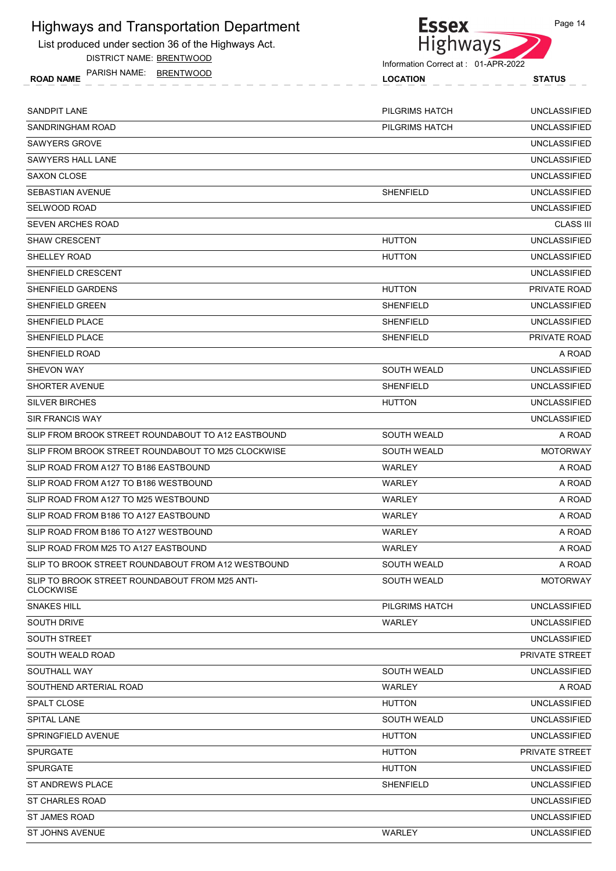List produced under section 36 of the Highways Act.

DISTRICT NAME: BRENTWOOD



| PARISH NAME:<br><b>ROAD NAME</b> | BRENTWOOD | <b>LOCATION</b> | <b>STATUS</b>       |
|----------------------------------|-----------|-----------------|---------------------|
| SANDPIT LANE                     |           | PILGRIMS HATCH  | <b>UNCLASSIFIED</b> |
| SANDRINGHAM ROAD                 |           | PILGRIMS HATCH  | UNCLASSIFIED        |
|                                  |           |                 |                     |

| <b>SAWYERS GROVE</b>                                               |                    | <b>UNCLASSIFIED</b> |
|--------------------------------------------------------------------|--------------------|---------------------|
| SAWYERS HALL LANE                                                  |                    | <b>UNCLASSIFIED</b> |
| <b>SAXON CLOSE</b>                                                 |                    | <b>UNCLASSIFIED</b> |
| <b>SEBASTIAN AVENUE</b>                                            | <b>SHENFIELD</b>   | <b>UNCLASSIFIED</b> |
| SELWOOD ROAD                                                       |                    | <b>UNCLASSIFIED</b> |
| <b>SEVEN ARCHES ROAD</b>                                           |                    | <b>CLASS III</b>    |
| SHAW CRESCENT                                                      | <b>HUTTON</b>      | <b>UNCLASSIFIED</b> |
| SHELLEY ROAD                                                       | <b>HUTTON</b>      | <b>UNCLASSIFIED</b> |
| SHENFIELD CRESCENT                                                 |                    | <b>UNCLASSIFIED</b> |
| SHENFIELD GARDENS                                                  | <b>HUTTON</b>      | PRIVATE ROAD        |
| SHENFIELD GREEN                                                    | <b>SHENFIELD</b>   | <b>UNCLASSIFIED</b> |
| SHENFIELD PLACE                                                    | <b>SHENFIELD</b>   | <b>UNCLASSIFIED</b> |
| <b>SHENFIELD PLACE</b>                                             | <b>SHENFIELD</b>   | PRIVATE ROAD        |
| SHENFIELD ROAD                                                     |                    | A ROAD              |
| <b>SHEVON WAY</b>                                                  | <b>SOUTH WEALD</b> | <b>UNCLASSIFIED</b> |
| <b>SHORTER AVENUE</b>                                              | <b>SHENFIELD</b>   | <b>UNCLASSIFIED</b> |
| <b>SILVER BIRCHES</b>                                              | <b>HUTTON</b>      | <b>UNCLASSIFIED</b> |
| <b>SIR FRANCIS WAY</b>                                             |                    | <b>UNCLASSIFIED</b> |
| SLIP FROM BROOK STREET ROUNDABOUT TO A12 EASTBOUND                 | <b>SOUTH WEALD</b> | A ROAD              |
| SLIP FROM BROOK STREET ROUNDABOUT TO M25 CLOCKWISE                 | <b>SOUTH WEALD</b> | <b>MOTORWAY</b>     |
| SLIP ROAD FROM A127 TO B186 EASTBOUND                              | WARLEY             | A ROAD              |
| SLIP ROAD FROM A127 TO B186 WESTBOUND                              | WARLEY             | A ROAD              |
| SLIP ROAD FROM A127 TO M25 WESTBOUND                               | WARLEY             | A ROAD              |
| SLIP ROAD FROM B186 TO A127 EASTBOUND                              | WARLEY             | A ROAD              |
| SLIP ROAD FROM B186 TO A127 WESTBOUND                              | WARLEY             | A ROAD              |
| SLIP ROAD FROM M25 TO A127 EASTBOUND                               | WARLEY             | A ROAD              |
| SLIP TO BROOK STREET ROUNDABOUT FROM A12 WESTBOUND                 | <b>SOUTH WEALD</b> | A ROAD              |
| SLIP TO BROOK STREET ROUNDABOUT FROM M25 ANTI-<br><b>CLOCKWISE</b> | <b>SOUTH WEALD</b> | <b>MOTORWAY</b>     |
| <b>SNAKES HILL</b>                                                 | PILGRIMS HATCH     | <b>UNCLASSIFIED</b> |
| SOUTH DRIVE                                                        | WARLEY             | <b>UNCLASSIFIED</b> |
| <b>SOUTH STREET</b>                                                |                    | <b>UNCLASSIFIED</b> |
| SOUTH WEALD ROAD                                                   |                    | PRIVATE STREET      |
| SOUTHALL WAY                                                       | <b>SOUTH WEALD</b> | <b>UNCLASSIFIED</b> |
| SOUTHEND ARTERIAL ROAD                                             | WARLEY             | A ROAD              |
| <b>SPALT CLOSE</b>                                                 | <b>HUTTON</b>      | <b>UNCLASSIFIED</b> |
| SPITAL LANE                                                        | <b>SOUTH WEALD</b> | <b>UNCLASSIFIED</b> |
| SPRINGFIELD AVENUE                                                 | <b>HUTTON</b>      | <b>UNCLASSIFIED</b> |
| <b>SPURGATE</b>                                                    | <b>HUTTON</b>      | PRIVATE STREET      |
| <b>SPURGATE</b>                                                    | <b>HUTTON</b>      | <b>UNCLASSIFIED</b> |
| ST ANDREWS PLACE                                                   | <b>SHENFIELD</b>   | <b>UNCLASSIFIED</b> |
| <b>ST CHARLES ROAD</b>                                             |                    | <b>UNCLASSIFIED</b> |
| ST JAMES ROAD                                                      |                    | UNCLASSIFIED        |
| <b>ST JOHNS AVENUE</b>                                             | <b>WARLEY</b>      | <b>UNCLASSIFIED</b> |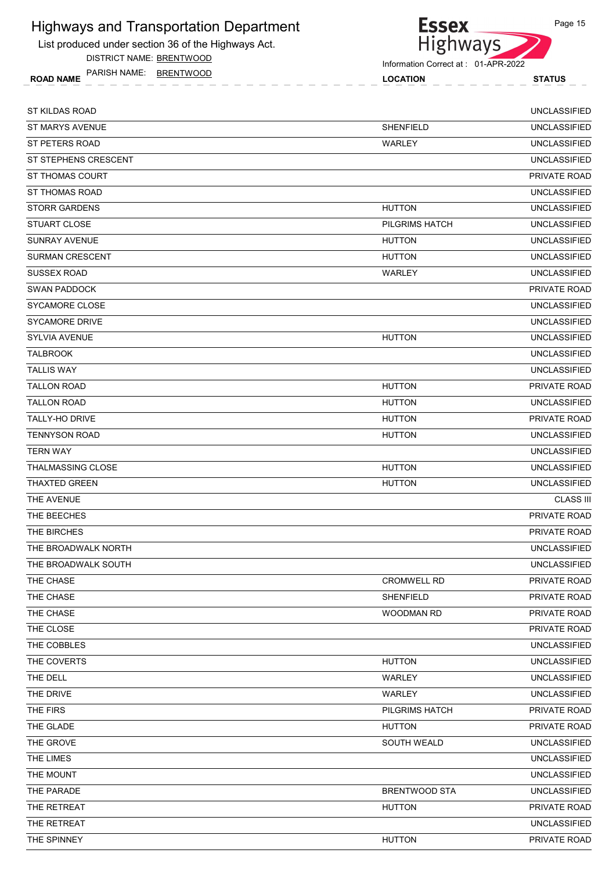List produced under section 36 of the Highways Act.

DISTRICT NAME: BRENTWOOD

ROAD NAME LOCATION STATUS PARISH NAME: BRENTWOOD

**Essex** Highways

Information Correct at : 01-APR-2022

| ST KILDAS ROAD           |                      | <b>UNCLASSIFIED</b> |
|--------------------------|----------------------|---------------------|
| ST MARYS AVENUE          | <b>SHENFIELD</b>     | <b>UNCLASSIFIED</b> |
| ST PETERS ROAD           | WARLEY               | <b>UNCLASSIFIED</b> |
| ST STEPHENS CRESCENT     |                      | <b>UNCLASSIFIED</b> |
| <b>ST THOMAS COURT</b>   |                      | <b>PRIVATE ROAD</b> |
| <b>ST THOMAS ROAD</b>    |                      | <b>UNCLASSIFIED</b> |
| <b>STORR GARDENS</b>     | <b>HUTTON</b>        | <b>UNCLASSIFIED</b> |
| <b>STUART CLOSE</b>      | PILGRIMS HATCH       | <b>UNCLASSIFIED</b> |
| <b>SUNRAY AVENUE</b>     | <b>HUTTON</b>        | <b>UNCLASSIFIED</b> |
| <b>SURMAN CRESCENT</b>   | <b>HUTTON</b>        | <b>UNCLASSIFIED</b> |
| <b>SUSSEX ROAD</b>       | WARLEY               | <b>UNCLASSIFIED</b> |
| <b>SWAN PADDOCK</b>      |                      | PRIVATE ROAD        |
| SYCAMORE CLOSE           |                      | <b>UNCLASSIFIED</b> |
| <b>SYCAMORE DRIVE</b>    |                      | <b>UNCLASSIFIED</b> |
| <b>SYLVIA AVENUE</b>     | <b>HUTTON</b>        | <b>UNCLASSIFIED</b> |
| <b>TALBROOK</b>          |                      | <b>UNCLASSIFIED</b> |
| <b>TALLIS WAY</b>        |                      | <b>UNCLASSIFIED</b> |
| <b>TALLON ROAD</b>       | <b>HUTTON</b>        | PRIVATE ROAD        |
| <b>TALLON ROAD</b>       | <b>HUTTON</b>        | <b>UNCLASSIFIED</b> |
| <b>TALLY-HO DRIVE</b>    | <b>HUTTON</b>        | <b>PRIVATE ROAD</b> |
| <b>TENNYSON ROAD</b>     | <b>HUTTON</b>        | <b>UNCLASSIFIED</b> |
| <b>TERN WAY</b>          |                      | <b>UNCLASSIFIED</b> |
| <b>THALMASSING CLOSE</b> | <b>HUTTON</b>        | <b>UNCLASSIFIED</b> |
| <b>THAXTED GREEN</b>     | <b>HUTTON</b>        | <b>UNCLASSIFIED</b> |
| THE AVENUE               |                      | <b>CLASS III</b>    |
| THE BEECHES              |                      | PRIVATE ROAD        |
| THE BIRCHES              |                      | PRIVATE ROAD        |
| THE BROADWALK NORTH      |                      | <b>UNCLASSIFIED</b> |
| THE BROADWALK SOUTH      |                      | <b>UNCLASSIFIED</b> |
| THE CHASE                | <b>CROMWELL RD</b>   | PRIVATE ROAD        |
| THE CHASE                | SHENFIELD            | PRIVATE ROAD        |
| THE CHASE                | WOODMAN RD           | PRIVATE ROAD        |
| THE CLOSE                |                      | PRIVATE ROAD        |
| THE COBBLES              |                      | <b>UNCLASSIFIED</b> |
| THE COVERTS              | <b>HUTTON</b>        | <b>UNCLASSIFIED</b> |
| THE DELL                 | WARLEY               | <b>UNCLASSIFIED</b> |
| THE DRIVE                | WARLEY               | <b>UNCLASSIFIED</b> |
| THE FIRS                 | PILGRIMS HATCH       | PRIVATE ROAD        |
| THE GLADE                | <b>HUTTON</b>        | PRIVATE ROAD        |
| THE GROVE                | SOUTH WEALD          | <b>UNCLASSIFIED</b> |
| THE LIMES                |                      | <b>UNCLASSIFIED</b> |
| THE MOUNT                |                      | <b>UNCLASSIFIED</b> |
| THE PARADE               | <b>BRENTWOOD STA</b> | <b>UNCLASSIFIED</b> |
| THE RETREAT              | <b>HUTTON</b>        | PRIVATE ROAD        |
| THE RETREAT              |                      | <b>UNCLASSIFIED</b> |
| THE SPINNEY              | <b>HUTTON</b>        | PRIVATE ROAD        |
|                          |                      |                     |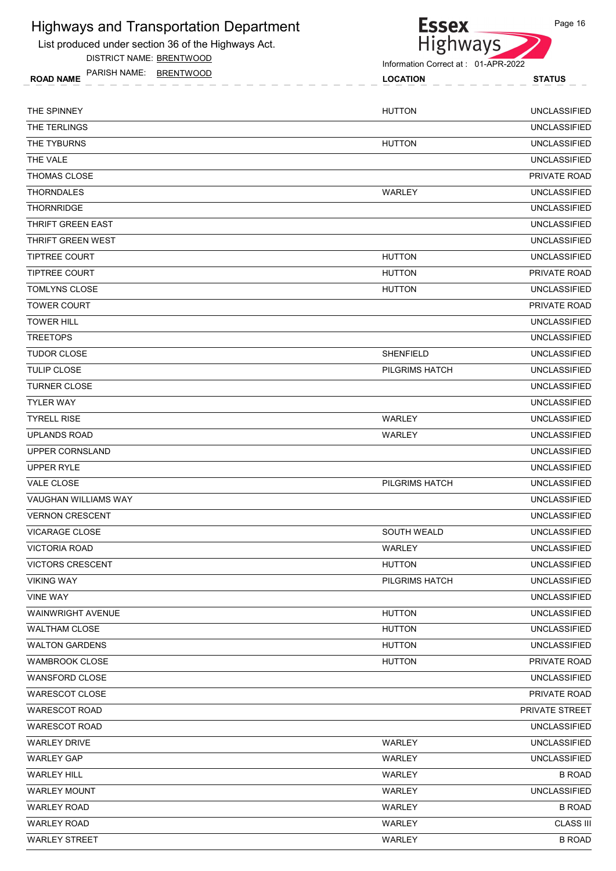List produced under section 36 of the Highways Act.

DISTRICT NAME: BRENTWOOD

Highways ROAD NAME LOCATION STATUS PARISH NAME: BRENTWOOD

| THE SPINNEY            | <b>HUTTON</b>         | <b>UNCLASSIFIED</b> |
|------------------------|-----------------------|---------------------|
| THE TERLINGS           |                       | <b>UNCLASSIFIED</b> |
| THE TYBURNS            | <b>HUTTON</b>         | <b>UNCLASSIFIED</b> |
| THE VALE               |                       | <b>UNCLASSIFIED</b> |
| THOMAS CLOSE           |                       | PRIVATE ROAD        |
| THORNDALES             | WARLEY                | <b>UNCLASSIFIED</b> |
| THORNRIDGE             |                       | <b>UNCLASSIFIED</b> |
| THRIFT GREEN EAST      |                       | <b>UNCLASSIFIED</b> |
| THRIFT GREEN WEST      |                       | <b>UNCLASSIFIED</b> |
| <b>TIPTREE COURT</b>   | <b>HUTTON</b>         | <b>UNCLASSIFIED</b> |
| <b>TIPTREE COURT</b>   | <b>HUTTON</b>         | <b>PRIVATE ROAD</b> |
| TOMLYNS CLOSE          | <b>HUTTON</b>         | <b>UNCLASSIFIED</b> |
| <b>TOWER COURT</b>     |                       | PRIVATE ROAD        |
| TOWER HILL             |                       | <b>UNCLASSIFIED</b> |
| <b>TREETOPS</b>        |                       | <b>UNCLASSIFIED</b> |
| <b>TUDOR CLOSE</b>     | <b>SHENFIELD</b>      | <b>UNCLASSIFIED</b> |
| TULIP CLOSE            | PILGRIMS HATCH        | <b>UNCLASSIFIED</b> |
| <b>TURNER CLOSE</b>    |                       | <b>UNCLASSIFIED</b> |
| <b>TYLER WAY</b>       |                       | <b>UNCLASSIFIED</b> |
| <b>TYRELL RISE</b>     | WARLEY                | <b>UNCLASSIFIED</b> |
| <b>UPLANDS ROAD</b>    | WARLEY                | <b>UNCLASSIFIED</b> |
| UPPER CORNSLAND        |                       | <b>UNCLASSIFIED</b> |
| <b>UPPER RYLE</b>      |                       | <b>UNCLASSIFIED</b> |
| <b>VALE CLOSE</b>      | PILGRIMS HATCH        | <b>UNCLASSIFIED</b> |
| VAUGHAN WILLIAMS WAY   |                       | <b>UNCLASSIFIED</b> |
| <b>VERNON CRESCENT</b> |                       | <b>UNCLASSIFIED</b> |
| VICARAGE CLOSE         | <b>SOUTH WEALD</b>    | <b>UNCLASSIFIED</b> |
| <b>VICTORIA ROAD</b>   | WARLEY                | <b>UNCLASSIFIED</b> |
| VICTORS CRESCENT       | <b>HUTTON</b>         | <b>UNCLASSIFIED</b> |
| <b>VIKING WAY</b>      | <b>PILGRIMS HATCH</b> | <b>UNCLASSIFIED</b> |
| <b>VINE WAY</b>        |                       | <b>UNCLASSIFIED</b> |
| WAINWRIGHT AVENUE      | <b>HUTTON</b>         | <b>UNCLASSIFIED</b> |
| WALTHAM CLOSE          | <b>HUTTON</b>         | <b>UNCLASSIFIED</b> |
| WALTON GARDENS         | <b>HUTTON</b>         | <b>UNCLASSIFIED</b> |
| WAMBROOK CLOSE         | <b>HUTTON</b>         | PRIVATE ROAD        |
| <b>WANSFORD CLOSE</b>  |                       | <b>UNCLASSIFIED</b> |
| WARESCOT CLOSE         |                       | PRIVATE ROAD        |
| WARESCOT ROAD          |                       | PRIVATE STREET      |
| WARESCOT ROAD          |                       | <b>UNCLASSIFIED</b> |
| WARLEY DRIVE           | WARLEY                | <b>UNCLASSIFIED</b> |
| <b>WARLEY GAP</b>      | WARLEY                | <b>UNCLASSIFIED</b> |
| WARLEY HILL            | WARLEY                | <b>B ROAD</b>       |

WARLEY MOUNT WARLEY UNCLASSIFIED WARLEY ROAD B ROAD WARLEY ROAD CLASS III WARLEY STREET B ROAD



Page 16

Information Correct at : 01-APR-2022

**Essex**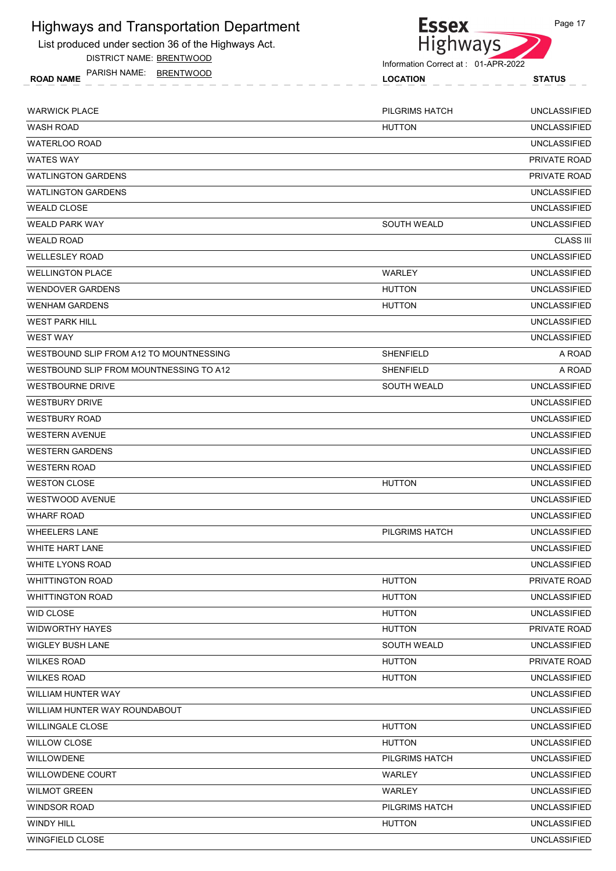List produced under section 36 of the Highways Act.

DISTRICT NAME: BRENTWOOD

ROAD NAME LOCATION STATUS PARISH NAME: BRENTWOOD



| <b>HUTTON</b><br><b>WASH ROAD</b><br><b>UNCLASSIFIED</b><br><b>UNCLASSIFIED</b><br><b>WATERLOO ROAD</b><br><b>WATES WAY</b><br>PRIVATE ROAD<br><b>WATLINGTON GARDENS</b><br>PRIVATE ROAD<br><b>WATLINGTON GARDENS</b><br><b>UNCLASSIFIED</b><br><b>WEALD CLOSE</b><br><b>UNCLASSIFIED</b><br><b>WEALD PARK WAY</b><br><b>SOUTH WEALD</b><br><b>UNCLASSIFIED</b><br><b>CLASS III</b><br><b>WEALD ROAD</b><br><b>UNCLASSIFIED</b><br><b>WELLESLEY ROAD</b><br><b>UNCLASSIFIED</b><br><b>WELLINGTON PLACE</b><br>WARLEY<br><b>WENDOVER GARDENS</b><br><b>HUTTON</b><br><b>UNCLASSIFIED</b><br><b>WENHAM GARDENS</b><br><b>UNCLASSIFIED</b><br><b>HUTTON</b><br><b>WEST PARK HILL</b><br><b>UNCLASSIFIED</b><br><b>WEST WAY</b><br><b>UNCLASSIFIED</b><br>A ROAD<br>WESTBOUND SLIP FROM A12 TO MOUNTNESSING<br><b>SHENFIELD</b><br>WESTBOUND SLIP FROM MOUNTNESSING TO A12<br><b>SHENFIELD</b><br>A ROAD<br><b>UNCLASSIFIED</b><br>SOUTH WEALD<br><b>WESTBOURNE DRIVE</b><br><b>UNCLASSIFIED</b><br><b>WESTBURY DRIVE</b><br><b>UNCLASSIFIED</b><br><b>WESTBURY ROAD</b><br><b>WESTERN AVENUE</b><br><b>UNCLASSIFIED</b><br><b>WESTERN GARDENS</b><br><b>UNCLASSIFIED</b><br><b>UNCLASSIFIED</b><br><b>WESTERN ROAD</b><br><b>UNCLASSIFIED</b><br><b>WESTON CLOSE</b><br><b>HUTTON</b><br><b>WESTWOOD AVENUE</b><br><b>UNCLASSIFIED</b><br><b>WHARF ROAD</b><br><b>UNCLASSIFIED</b><br><b>WHEELERS LANE</b><br>PILGRIMS HATCH<br><b>UNCLASSIFIED</b><br><b>UNCLASSIFIED</b><br><b>WHITE HART LANE</b><br><b>UNCLASSIFIED</b><br><b>WHITE LYONS ROAD</b><br><b>HUTTON</b><br><b>WHITTINGTON ROAD</b><br>PRIVATE ROAD<br><b>UNCLASSIFIED</b><br><b>WHITTINGTON ROAD</b><br><b>HUTTON</b><br><b>WID CLOSE</b><br><b>UNCLASSIFIED</b><br><b>HUTTON</b><br>PRIVATE ROAD<br><b>WIDWORTHY HAYES</b><br><b>HUTTON</b><br><b>UNCLASSIFIED</b><br><b>WIGLEY BUSH LANE</b><br><b>SOUTH WEALD</b><br><b>WILKES ROAD</b><br><b>HUTTON</b><br>PRIVATE ROAD<br><b>UNCLASSIFIED</b><br><b>WILKES ROAD</b><br><b>HUTTON</b><br>WILLIAM HUNTER WAY<br><b>UNCLASSIFIED</b><br><b>UNCLASSIFIED</b><br>WILLIAM HUNTER WAY ROUNDABOUT<br><b>UNCLASSIFIED</b><br><b>WILLINGALE CLOSE</b><br><b>HUTTON</b><br>WILLOW CLOSE<br><b>HUTTON</b><br><b>UNCLASSIFIED</b><br>WILLOWDENE<br><b>UNCLASSIFIED</b><br>PILGRIMS HATCH<br><b>WILLOWDENE COURT</b><br><b>UNCLASSIFIED</b><br>WARLEY<br>WARLEY<br><b>UNCLASSIFIED</b><br><b>WILMOT GREEN</b><br><b>UNCLASSIFIED</b><br><b>WINDSOR ROAD</b><br>PILGRIMS HATCH<br><b>WINDY HILL</b><br><b>HUTTON</b><br><b>UNCLASSIFIED</b><br><b>UNCLASSIFIED</b><br><b>WINGFIELD CLOSE</b> | <b>WARWICK PLACE</b> | <b>PILGRIMS HATCH</b> | <b>UNCLASSIFIED</b> |
|-------------------------------------------------------------------------------------------------------------------------------------------------------------------------------------------------------------------------------------------------------------------------------------------------------------------------------------------------------------------------------------------------------------------------------------------------------------------------------------------------------------------------------------------------------------------------------------------------------------------------------------------------------------------------------------------------------------------------------------------------------------------------------------------------------------------------------------------------------------------------------------------------------------------------------------------------------------------------------------------------------------------------------------------------------------------------------------------------------------------------------------------------------------------------------------------------------------------------------------------------------------------------------------------------------------------------------------------------------------------------------------------------------------------------------------------------------------------------------------------------------------------------------------------------------------------------------------------------------------------------------------------------------------------------------------------------------------------------------------------------------------------------------------------------------------------------------------------------------------------------------------------------------------------------------------------------------------------------------------------------------------------------------------------------------------------------------------------------------------------------------------------------------------------------------------------------------------------------------------------------------------------------------------------------------------------------------------------------------------------------------------------------------------------------------------------------------------------------------------------------------------------------------------------------------------------------------------------------|----------------------|-----------------------|---------------------|
|                                                                                                                                                                                                                                                                                                                                                                                                                                                                                                                                                                                                                                                                                                                                                                                                                                                                                                                                                                                                                                                                                                                                                                                                                                                                                                                                                                                                                                                                                                                                                                                                                                                                                                                                                                                                                                                                                                                                                                                                                                                                                                                                                                                                                                                                                                                                                                                                                                                                                                                                                                                                 |                      |                       |                     |
|                                                                                                                                                                                                                                                                                                                                                                                                                                                                                                                                                                                                                                                                                                                                                                                                                                                                                                                                                                                                                                                                                                                                                                                                                                                                                                                                                                                                                                                                                                                                                                                                                                                                                                                                                                                                                                                                                                                                                                                                                                                                                                                                                                                                                                                                                                                                                                                                                                                                                                                                                                                                 |                      |                       |                     |
|                                                                                                                                                                                                                                                                                                                                                                                                                                                                                                                                                                                                                                                                                                                                                                                                                                                                                                                                                                                                                                                                                                                                                                                                                                                                                                                                                                                                                                                                                                                                                                                                                                                                                                                                                                                                                                                                                                                                                                                                                                                                                                                                                                                                                                                                                                                                                                                                                                                                                                                                                                                                 |                      |                       |                     |
|                                                                                                                                                                                                                                                                                                                                                                                                                                                                                                                                                                                                                                                                                                                                                                                                                                                                                                                                                                                                                                                                                                                                                                                                                                                                                                                                                                                                                                                                                                                                                                                                                                                                                                                                                                                                                                                                                                                                                                                                                                                                                                                                                                                                                                                                                                                                                                                                                                                                                                                                                                                                 |                      |                       |                     |
|                                                                                                                                                                                                                                                                                                                                                                                                                                                                                                                                                                                                                                                                                                                                                                                                                                                                                                                                                                                                                                                                                                                                                                                                                                                                                                                                                                                                                                                                                                                                                                                                                                                                                                                                                                                                                                                                                                                                                                                                                                                                                                                                                                                                                                                                                                                                                                                                                                                                                                                                                                                                 |                      |                       |                     |
|                                                                                                                                                                                                                                                                                                                                                                                                                                                                                                                                                                                                                                                                                                                                                                                                                                                                                                                                                                                                                                                                                                                                                                                                                                                                                                                                                                                                                                                                                                                                                                                                                                                                                                                                                                                                                                                                                                                                                                                                                                                                                                                                                                                                                                                                                                                                                                                                                                                                                                                                                                                                 |                      |                       |                     |
|                                                                                                                                                                                                                                                                                                                                                                                                                                                                                                                                                                                                                                                                                                                                                                                                                                                                                                                                                                                                                                                                                                                                                                                                                                                                                                                                                                                                                                                                                                                                                                                                                                                                                                                                                                                                                                                                                                                                                                                                                                                                                                                                                                                                                                                                                                                                                                                                                                                                                                                                                                                                 |                      |                       |                     |
|                                                                                                                                                                                                                                                                                                                                                                                                                                                                                                                                                                                                                                                                                                                                                                                                                                                                                                                                                                                                                                                                                                                                                                                                                                                                                                                                                                                                                                                                                                                                                                                                                                                                                                                                                                                                                                                                                                                                                                                                                                                                                                                                                                                                                                                                                                                                                                                                                                                                                                                                                                                                 |                      |                       |                     |
|                                                                                                                                                                                                                                                                                                                                                                                                                                                                                                                                                                                                                                                                                                                                                                                                                                                                                                                                                                                                                                                                                                                                                                                                                                                                                                                                                                                                                                                                                                                                                                                                                                                                                                                                                                                                                                                                                                                                                                                                                                                                                                                                                                                                                                                                                                                                                                                                                                                                                                                                                                                                 |                      |                       |                     |
|                                                                                                                                                                                                                                                                                                                                                                                                                                                                                                                                                                                                                                                                                                                                                                                                                                                                                                                                                                                                                                                                                                                                                                                                                                                                                                                                                                                                                                                                                                                                                                                                                                                                                                                                                                                                                                                                                                                                                                                                                                                                                                                                                                                                                                                                                                                                                                                                                                                                                                                                                                                                 |                      |                       |                     |
|                                                                                                                                                                                                                                                                                                                                                                                                                                                                                                                                                                                                                                                                                                                                                                                                                                                                                                                                                                                                                                                                                                                                                                                                                                                                                                                                                                                                                                                                                                                                                                                                                                                                                                                                                                                                                                                                                                                                                                                                                                                                                                                                                                                                                                                                                                                                                                                                                                                                                                                                                                                                 |                      |                       |                     |
|                                                                                                                                                                                                                                                                                                                                                                                                                                                                                                                                                                                                                                                                                                                                                                                                                                                                                                                                                                                                                                                                                                                                                                                                                                                                                                                                                                                                                                                                                                                                                                                                                                                                                                                                                                                                                                                                                                                                                                                                                                                                                                                                                                                                                                                                                                                                                                                                                                                                                                                                                                                                 |                      |                       |                     |
|                                                                                                                                                                                                                                                                                                                                                                                                                                                                                                                                                                                                                                                                                                                                                                                                                                                                                                                                                                                                                                                                                                                                                                                                                                                                                                                                                                                                                                                                                                                                                                                                                                                                                                                                                                                                                                                                                                                                                                                                                                                                                                                                                                                                                                                                                                                                                                                                                                                                                                                                                                                                 |                      |                       |                     |
|                                                                                                                                                                                                                                                                                                                                                                                                                                                                                                                                                                                                                                                                                                                                                                                                                                                                                                                                                                                                                                                                                                                                                                                                                                                                                                                                                                                                                                                                                                                                                                                                                                                                                                                                                                                                                                                                                                                                                                                                                                                                                                                                                                                                                                                                                                                                                                                                                                                                                                                                                                                                 |                      |                       |                     |
|                                                                                                                                                                                                                                                                                                                                                                                                                                                                                                                                                                                                                                                                                                                                                                                                                                                                                                                                                                                                                                                                                                                                                                                                                                                                                                                                                                                                                                                                                                                                                                                                                                                                                                                                                                                                                                                                                                                                                                                                                                                                                                                                                                                                                                                                                                                                                                                                                                                                                                                                                                                                 |                      |                       |                     |
|                                                                                                                                                                                                                                                                                                                                                                                                                                                                                                                                                                                                                                                                                                                                                                                                                                                                                                                                                                                                                                                                                                                                                                                                                                                                                                                                                                                                                                                                                                                                                                                                                                                                                                                                                                                                                                                                                                                                                                                                                                                                                                                                                                                                                                                                                                                                                                                                                                                                                                                                                                                                 |                      |                       |                     |
|                                                                                                                                                                                                                                                                                                                                                                                                                                                                                                                                                                                                                                                                                                                                                                                                                                                                                                                                                                                                                                                                                                                                                                                                                                                                                                                                                                                                                                                                                                                                                                                                                                                                                                                                                                                                                                                                                                                                                                                                                                                                                                                                                                                                                                                                                                                                                                                                                                                                                                                                                                                                 |                      |                       |                     |
|                                                                                                                                                                                                                                                                                                                                                                                                                                                                                                                                                                                                                                                                                                                                                                                                                                                                                                                                                                                                                                                                                                                                                                                                                                                                                                                                                                                                                                                                                                                                                                                                                                                                                                                                                                                                                                                                                                                                                                                                                                                                                                                                                                                                                                                                                                                                                                                                                                                                                                                                                                                                 |                      |                       |                     |
|                                                                                                                                                                                                                                                                                                                                                                                                                                                                                                                                                                                                                                                                                                                                                                                                                                                                                                                                                                                                                                                                                                                                                                                                                                                                                                                                                                                                                                                                                                                                                                                                                                                                                                                                                                                                                                                                                                                                                                                                                                                                                                                                                                                                                                                                                                                                                                                                                                                                                                                                                                                                 |                      |                       |                     |
|                                                                                                                                                                                                                                                                                                                                                                                                                                                                                                                                                                                                                                                                                                                                                                                                                                                                                                                                                                                                                                                                                                                                                                                                                                                                                                                                                                                                                                                                                                                                                                                                                                                                                                                                                                                                                                                                                                                                                                                                                                                                                                                                                                                                                                                                                                                                                                                                                                                                                                                                                                                                 |                      |                       |                     |
|                                                                                                                                                                                                                                                                                                                                                                                                                                                                                                                                                                                                                                                                                                                                                                                                                                                                                                                                                                                                                                                                                                                                                                                                                                                                                                                                                                                                                                                                                                                                                                                                                                                                                                                                                                                                                                                                                                                                                                                                                                                                                                                                                                                                                                                                                                                                                                                                                                                                                                                                                                                                 |                      |                       |                     |
|                                                                                                                                                                                                                                                                                                                                                                                                                                                                                                                                                                                                                                                                                                                                                                                                                                                                                                                                                                                                                                                                                                                                                                                                                                                                                                                                                                                                                                                                                                                                                                                                                                                                                                                                                                                                                                                                                                                                                                                                                                                                                                                                                                                                                                                                                                                                                                                                                                                                                                                                                                                                 |                      |                       |                     |
|                                                                                                                                                                                                                                                                                                                                                                                                                                                                                                                                                                                                                                                                                                                                                                                                                                                                                                                                                                                                                                                                                                                                                                                                                                                                                                                                                                                                                                                                                                                                                                                                                                                                                                                                                                                                                                                                                                                                                                                                                                                                                                                                                                                                                                                                                                                                                                                                                                                                                                                                                                                                 |                      |                       |                     |
|                                                                                                                                                                                                                                                                                                                                                                                                                                                                                                                                                                                                                                                                                                                                                                                                                                                                                                                                                                                                                                                                                                                                                                                                                                                                                                                                                                                                                                                                                                                                                                                                                                                                                                                                                                                                                                                                                                                                                                                                                                                                                                                                                                                                                                                                                                                                                                                                                                                                                                                                                                                                 |                      |                       |                     |
|                                                                                                                                                                                                                                                                                                                                                                                                                                                                                                                                                                                                                                                                                                                                                                                                                                                                                                                                                                                                                                                                                                                                                                                                                                                                                                                                                                                                                                                                                                                                                                                                                                                                                                                                                                                                                                                                                                                                                                                                                                                                                                                                                                                                                                                                                                                                                                                                                                                                                                                                                                                                 |                      |                       |                     |
|                                                                                                                                                                                                                                                                                                                                                                                                                                                                                                                                                                                                                                                                                                                                                                                                                                                                                                                                                                                                                                                                                                                                                                                                                                                                                                                                                                                                                                                                                                                                                                                                                                                                                                                                                                                                                                                                                                                                                                                                                                                                                                                                                                                                                                                                                                                                                                                                                                                                                                                                                                                                 |                      |                       |                     |
|                                                                                                                                                                                                                                                                                                                                                                                                                                                                                                                                                                                                                                                                                                                                                                                                                                                                                                                                                                                                                                                                                                                                                                                                                                                                                                                                                                                                                                                                                                                                                                                                                                                                                                                                                                                                                                                                                                                                                                                                                                                                                                                                                                                                                                                                                                                                                                                                                                                                                                                                                                                                 |                      |                       |                     |
|                                                                                                                                                                                                                                                                                                                                                                                                                                                                                                                                                                                                                                                                                                                                                                                                                                                                                                                                                                                                                                                                                                                                                                                                                                                                                                                                                                                                                                                                                                                                                                                                                                                                                                                                                                                                                                                                                                                                                                                                                                                                                                                                                                                                                                                                                                                                                                                                                                                                                                                                                                                                 |                      |                       |                     |
|                                                                                                                                                                                                                                                                                                                                                                                                                                                                                                                                                                                                                                                                                                                                                                                                                                                                                                                                                                                                                                                                                                                                                                                                                                                                                                                                                                                                                                                                                                                                                                                                                                                                                                                                                                                                                                                                                                                                                                                                                                                                                                                                                                                                                                                                                                                                                                                                                                                                                                                                                                                                 |                      |                       |                     |
|                                                                                                                                                                                                                                                                                                                                                                                                                                                                                                                                                                                                                                                                                                                                                                                                                                                                                                                                                                                                                                                                                                                                                                                                                                                                                                                                                                                                                                                                                                                                                                                                                                                                                                                                                                                                                                                                                                                                                                                                                                                                                                                                                                                                                                                                                                                                                                                                                                                                                                                                                                                                 |                      |                       |                     |
|                                                                                                                                                                                                                                                                                                                                                                                                                                                                                                                                                                                                                                                                                                                                                                                                                                                                                                                                                                                                                                                                                                                                                                                                                                                                                                                                                                                                                                                                                                                                                                                                                                                                                                                                                                                                                                                                                                                                                                                                                                                                                                                                                                                                                                                                                                                                                                                                                                                                                                                                                                                                 |                      |                       |                     |
|                                                                                                                                                                                                                                                                                                                                                                                                                                                                                                                                                                                                                                                                                                                                                                                                                                                                                                                                                                                                                                                                                                                                                                                                                                                                                                                                                                                                                                                                                                                                                                                                                                                                                                                                                                                                                                                                                                                                                                                                                                                                                                                                                                                                                                                                                                                                                                                                                                                                                                                                                                                                 |                      |                       |                     |
|                                                                                                                                                                                                                                                                                                                                                                                                                                                                                                                                                                                                                                                                                                                                                                                                                                                                                                                                                                                                                                                                                                                                                                                                                                                                                                                                                                                                                                                                                                                                                                                                                                                                                                                                                                                                                                                                                                                                                                                                                                                                                                                                                                                                                                                                                                                                                                                                                                                                                                                                                                                                 |                      |                       |                     |
|                                                                                                                                                                                                                                                                                                                                                                                                                                                                                                                                                                                                                                                                                                                                                                                                                                                                                                                                                                                                                                                                                                                                                                                                                                                                                                                                                                                                                                                                                                                                                                                                                                                                                                                                                                                                                                                                                                                                                                                                                                                                                                                                                                                                                                                                                                                                                                                                                                                                                                                                                                                                 |                      |                       |                     |
|                                                                                                                                                                                                                                                                                                                                                                                                                                                                                                                                                                                                                                                                                                                                                                                                                                                                                                                                                                                                                                                                                                                                                                                                                                                                                                                                                                                                                                                                                                                                                                                                                                                                                                                                                                                                                                                                                                                                                                                                                                                                                                                                                                                                                                                                                                                                                                                                                                                                                                                                                                                                 |                      |                       |                     |
|                                                                                                                                                                                                                                                                                                                                                                                                                                                                                                                                                                                                                                                                                                                                                                                                                                                                                                                                                                                                                                                                                                                                                                                                                                                                                                                                                                                                                                                                                                                                                                                                                                                                                                                                                                                                                                                                                                                                                                                                                                                                                                                                                                                                                                                                                                                                                                                                                                                                                                                                                                                                 |                      |                       |                     |
|                                                                                                                                                                                                                                                                                                                                                                                                                                                                                                                                                                                                                                                                                                                                                                                                                                                                                                                                                                                                                                                                                                                                                                                                                                                                                                                                                                                                                                                                                                                                                                                                                                                                                                                                                                                                                                                                                                                                                                                                                                                                                                                                                                                                                                                                                                                                                                                                                                                                                                                                                                                                 |                      |                       |                     |
|                                                                                                                                                                                                                                                                                                                                                                                                                                                                                                                                                                                                                                                                                                                                                                                                                                                                                                                                                                                                                                                                                                                                                                                                                                                                                                                                                                                                                                                                                                                                                                                                                                                                                                                                                                                                                                                                                                                                                                                                                                                                                                                                                                                                                                                                                                                                                                                                                                                                                                                                                                                                 |                      |                       |                     |
|                                                                                                                                                                                                                                                                                                                                                                                                                                                                                                                                                                                                                                                                                                                                                                                                                                                                                                                                                                                                                                                                                                                                                                                                                                                                                                                                                                                                                                                                                                                                                                                                                                                                                                                                                                                                                                                                                                                                                                                                                                                                                                                                                                                                                                                                                                                                                                                                                                                                                                                                                                                                 |                      |                       |                     |
|                                                                                                                                                                                                                                                                                                                                                                                                                                                                                                                                                                                                                                                                                                                                                                                                                                                                                                                                                                                                                                                                                                                                                                                                                                                                                                                                                                                                                                                                                                                                                                                                                                                                                                                                                                                                                                                                                                                                                                                                                                                                                                                                                                                                                                                                                                                                                                                                                                                                                                                                                                                                 |                      |                       |                     |
|                                                                                                                                                                                                                                                                                                                                                                                                                                                                                                                                                                                                                                                                                                                                                                                                                                                                                                                                                                                                                                                                                                                                                                                                                                                                                                                                                                                                                                                                                                                                                                                                                                                                                                                                                                                                                                                                                                                                                                                                                                                                                                                                                                                                                                                                                                                                                                                                                                                                                                                                                                                                 |                      |                       |                     |
|                                                                                                                                                                                                                                                                                                                                                                                                                                                                                                                                                                                                                                                                                                                                                                                                                                                                                                                                                                                                                                                                                                                                                                                                                                                                                                                                                                                                                                                                                                                                                                                                                                                                                                                                                                                                                                                                                                                                                                                                                                                                                                                                                                                                                                                                                                                                                                                                                                                                                                                                                                                                 |                      |                       |                     |
|                                                                                                                                                                                                                                                                                                                                                                                                                                                                                                                                                                                                                                                                                                                                                                                                                                                                                                                                                                                                                                                                                                                                                                                                                                                                                                                                                                                                                                                                                                                                                                                                                                                                                                                                                                                                                                                                                                                                                                                                                                                                                                                                                                                                                                                                                                                                                                                                                                                                                                                                                                                                 |                      |                       |                     |
|                                                                                                                                                                                                                                                                                                                                                                                                                                                                                                                                                                                                                                                                                                                                                                                                                                                                                                                                                                                                                                                                                                                                                                                                                                                                                                                                                                                                                                                                                                                                                                                                                                                                                                                                                                                                                                                                                                                                                                                                                                                                                                                                                                                                                                                                                                                                                                                                                                                                                                                                                                                                 |                      |                       |                     |
|                                                                                                                                                                                                                                                                                                                                                                                                                                                                                                                                                                                                                                                                                                                                                                                                                                                                                                                                                                                                                                                                                                                                                                                                                                                                                                                                                                                                                                                                                                                                                                                                                                                                                                                                                                                                                                                                                                                                                                                                                                                                                                                                                                                                                                                                                                                                                                                                                                                                                                                                                                                                 |                      |                       |                     |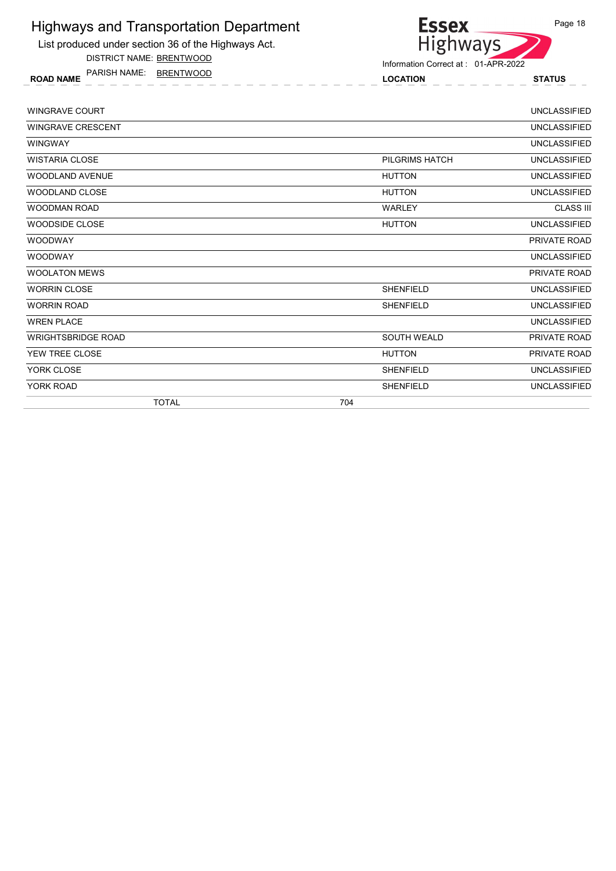List produced under section 36 of the Highways Act.

DISTRICT NAME: BRENTWOOD

ROAD NAME LOCATION STATUS PARISH NAME: BRENTWOOD



| <b>WINGRAVE COURT</b>     |                    | <b>UNCLASSIFIED</b> |
|---------------------------|--------------------|---------------------|
| <b>WINGRAVE CRESCENT</b>  |                    | <b>UNCLASSIFIED</b> |
| <b>WINGWAY</b>            |                    | <b>UNCLASSIFIED</b> |
| <b>WISTARIA CLOSE</b>     | PILGRIMS HATCH     | <b>UNCLASSIFIED</b> |
| WOODLAND AVENUE           | <b>HUTTON</b>      | <b>UNCLASSIFIED</b> |
| WOODLAND CLOSE            | <b>HUTTON</b>      | <b>UNCLASSIFIED</b> |
| <b>WOODMAN ROAD</b>       | <b>WARLEY</b>      | <b>CLASS III</b>    |
| WOODSIDE CLOSE            | <b>HUTTON</b>      | <b>UNCLASSIFIED</b> |
| <b>WOODWAY</b>            |                    | PRIVATE ROAD        |
| <b>WOODWAY</b>            |                    | <b>UNCLASSIFIED</b> |
| <b>WOOLATON MEWS</b>      |                    | PRIVATE ROAD        |
| <b>WORRIN CLOSE</b>       | <b>SHENFIELD</b>   | <b>UNCLASSIFIED</b> |
| <b>WORRIN ROAD</b>        | <b>SHENFIELD</b>   | <b>UNCLASSIFIED</b> |
| <b>WREN PLACE</b>         |                    | <b>UNCLASSIFIED</b> |
| <b>WRIGHTSBRIDGE ROAD</b> | <b>SOUTH WEALD</b> | PRIVATE ROAD        |
| YEW TREE CLOSE            | <b>HUTTON</b>      | PRIVATE ROAD        |
| YORK CLOSE                | <b>SHENFIELD</b>   | <b>UNCLASSIFIED</b> |
| YORK ROAD                 | <b>SHENFIELD</b>   | <b>UNCLASSIFIED</b> |
| <b>TOTAL</b>              | 704                |                     |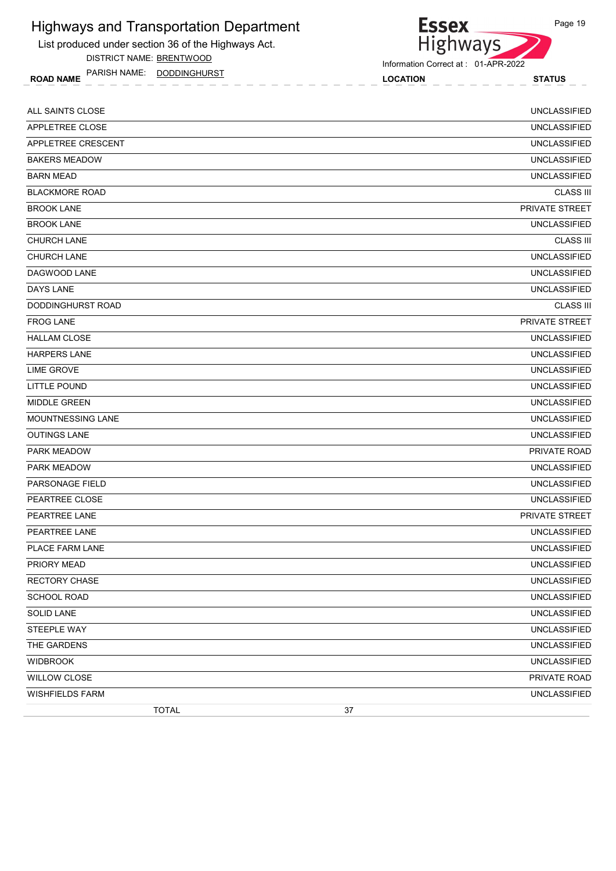List produced under section 36 of the Highways Act.

DISTRICT NAME: BRENTWOOD

ROAD NAME LOCATION STATUS PARISH NAME: DODDINGHURST

Essex<br>Highways

| ALL SAINTS CLOSE       | <b>UNCLASSIFIED</b> |
|------------------------|---------------------|
| APPLETREE CLOSE        | <b>UNCLASSIFIED</b> |
| APPLETREE CRESCENT     | <b>UNCLASSIFIED</b> |
| <b>BAKERS MEADOW</b>   | <b>UNCLASSIFIED</b> |
| <b>BARN MEAD</b>       | <b>UNCLASSIFIED</b> |
| <b>BLACKMORE ROAD</b>  | <b>CLASS III</b>    |
| <b>BROOK LANE</b>      | PRIVATE STREET      |
| <b>BROOK LANE</b>      | <b>UNCLASSIFIED</b> |
| <b>CHURCH LANE</b>     | <b>CLASS III</b>    |
| <b>CHURCH LANE</b>     | <b>UNCLASSIFIED</b> |
| DAGWOOD LANE           | <b>UNCLASSIFIED</b> |
| <b>DAYS LANE</b>       | <b>UNCLASSIFIED</b> |
| DODDINGHURST ROAD      | <b>CLASS III</b>    |
| <b>FROG LANE</b>       | PRIVATE STREET      |
| <b>HALLAM CLOSE</b>    | <b>UNCLASSIFIED</b> |
| <b>HARPERS LANE</b>    | <b>UNCLASSIFIED</b> |
| <b>LIME GROVE</b>      | <b>UNCLASSIFIED</b> |
| <b>LITTLE POUND</b>    | <b>UNCLASSIFIED</b> |
| <b>MIDDLE GREEN</b>    | <b>UNCLASSIFIED</b> |
| MOUNTNESSING LANE      | <b>UNCLASSIFIED</b> |
| <b>OUTINGS LANE</b>    | <b>UNCLASSIFIED</b> |
| <b>PARK MEADOW</b>     | PRIVATE ROAD        |
| PARK MEADOW            | <b>UNCLASSIFIED</b> |
| <b>PARSONAGE FIELD</b> | <b>UNCLASSIFIED</b> |
| PEARTREE CLOSE         | <b>UNCLASSIFIED</b> |
| PEARTREE LANE          | PRIVATE STREET      |
| PEARTREE LANE          | <b>UNCLASSIFIED</b> |
| PLACE FARM LANE        | <b>UNCLASSIFIED</b> |
| PRIORY MEAD            | UNCLASSIFIED        |
| <b>RECTORY CHASE</b>   | <b>UNCLASSIFIED</b> |
| SCHOOL ROAD            | <b>UNCLASSIFIED</b> |
| <b>SOLID LANE</b>      | <b>UNCLASSIFIED</b> |
| STEEPLE WAY            | <b>UNCLASSIFIED</b> |
| THE GARDENS            | <b>UNCLASSIFIED</b> |
| <b>WIDBROOK</b>        | <b>UNCLASSIFIED</b> |
| <b>WILLOW CLOSE</b>    | PRIVATE ROAD        |
| <b>WISHFIELDS FARM</b> | <b>UNCLASSIFIED</b> |
| <b>TOTAL</b>           | 37                  |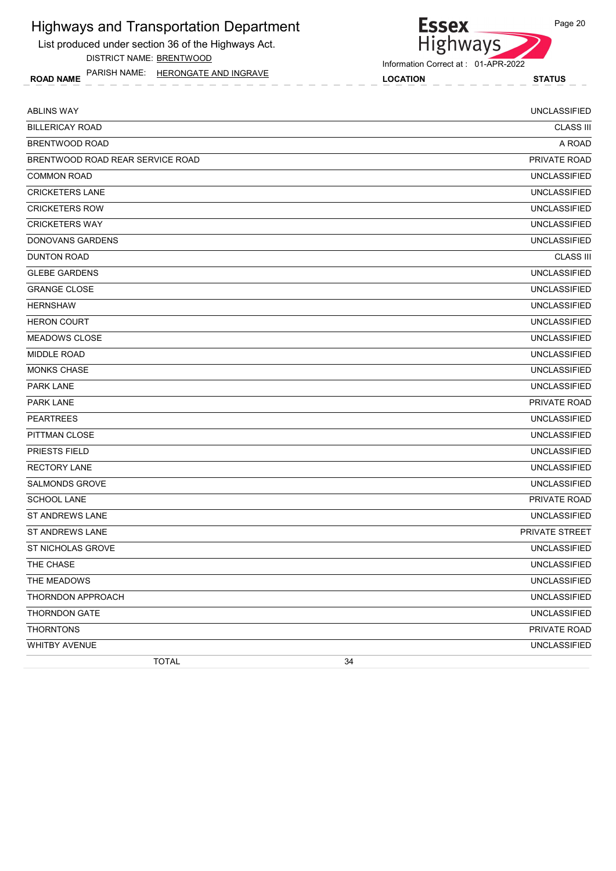List produced under section 36 of the Highways Act. DISTRICT NAME: BRENTWOOD

ROAD NAME LOCATION STATUS PARISH NAME: HERONGATE AND INGRAVE

# Essex<br>Highways

Information Correct at : 01-APR-2022

| <b>ABLINS WAY</b>                | <b>UNCLASSIFIED</b>   |
|----------------------------------|-----------------------|
| <b>BILLERICAY ROAD</b>           | <b>CLASS III</b>      |
| BRENTWOOD ROAD                   | A ROAD                |
| BRENTWOOD ROAD REAR SERVICE ROAD | PRIVATE ROAD          |
| <b>COMMON ROAD</b>               | <b>UNCLASSIFIED</b>   |
| <b>CRICKETERS LANE</b>           | <b>UNCLASSIFIED</b>   |
| <b>CRICKETERS ROW</b>            | <b>UNCLASSIFIED</b>   |
| <b>CRICKETERS WAY</b>            | <b>UNCLASSIFIED</b>   |
| DONOVANS GARDENS                 | <b>UNCLASSIFIED</b>   |
| <b>DUNTON ROAD</b>               | <b>CLASS III</b>      |
| <b>GLEBE GARDENS</b>             | <b>UNCLASSIFIED</b>   |
| <b>GRANGE CLOSE</b>              | <b>UNCLASSIFIED</b>   |
| <b>HERNSHAW</b>                  | <b>UNCLASSIFIED</b>   |
| <b>HERON COURT</b>               | <b>UNCLASSIFIED</b>   |
| <b>MEADOWS CLOSE</b>             | <b>UNCLASSIFIED</b>   |
| <b>MIDDLE ROAD</b>               | <b>UNCLASSIFIED</b>   |
| <b>MONKS CHASE</b>               | <b>UNCLASSIFIED</b>   |
| <b>PARK LANE</b>                 | <b>UNCLASSIFIED</b>   |
| PARK LANE                        | PRIVATE ROAD          |
| <b>PEARTREES</b>                 | <b>UNCLASSIFIED</b>   |
| PITTMAN CLOSE                    | <b>UNCLASSIFIED</b>   |
| <b>PRIESTS FIELD</b>             | <b>UNCLASSIFIED</b>   |
| <b>RECTORY LANE</b>              | <b>UNCLASSIFIED</b>   |
| <b>SALMONDS GROVE</b>            | <b>UNCLASSIFIED</b>   |
| <b>SCHOOL LANE</b>               | PRIVATE ROAD          |
| <b>ST ANDREWS LANE</b>           | <b>UNCLASSIFIED</b>   |
| <b>ST ANDREWS LANE</b>           | <b>PRIVATE STREET</b> |
| ST NICHOLAS GROVE                | <b>UNCLASSIFIED</b>   |
| THE CHASE                        | <b>UNCLASSIFIED</b>   |
| THE MEADOWS                      | <b>UNCLASSIFIED</b>   |
| THORNDON APPROACH                | <b>UNCLASSIFIED</b>   |
| <b>THORNDON GATE</b>             | <b>UNCLASSIFIED</b>   |
| <b>THORNTONS</b>                 | PRIVATE ROAD          |
| WHITBY AVENUE                    | <b>UNCLASSIFIED</b>   |
| <b>TOTAL</b><br>34               |                       |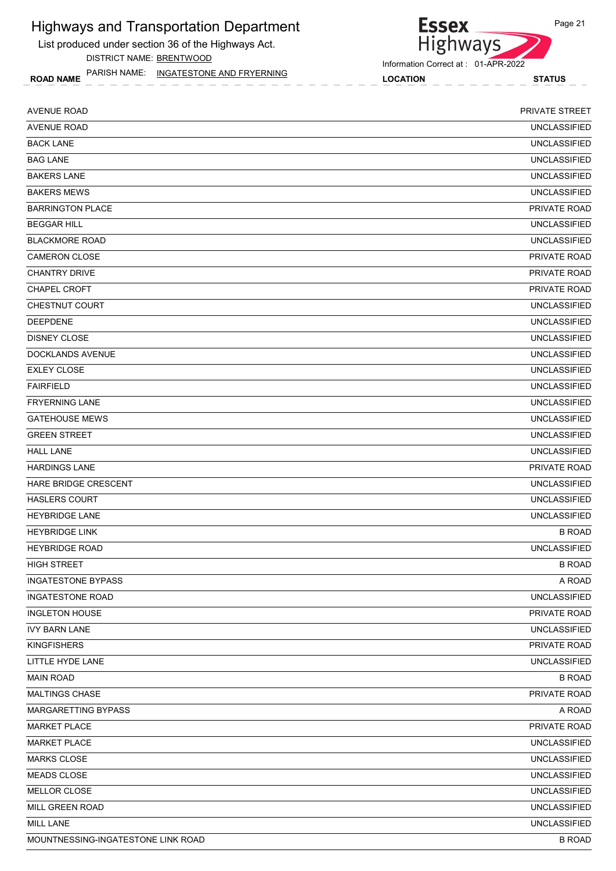List produced under section 36 of the Highways Act.

DISTRICT NAME: BRENTWOOD

ROAD NAME LOCATION STATUS PARISH NAME: INGATESTONE AND FRYERNING

# Essex<br>Highways Information Correct at : 01-APR-2022

| <b>AVENUE ROAD</b>                 | <b>PRIVATE STREET</b> |
|------------------------------------|-----------------------|
| <b>AVENUE ROAD</b>                 | <b>UNCLASSIFIED</b>   |
| <b>BACK LANE</b>                   | <b>UNCLASSIFIED</b>   |
| <b>BAG LANE</b>                    | <b>UNCLASSIFIED</b>   |
| <b>BAKERS LANE</b>                 | <b>UNCLASSIFIED</b>   |
| <b>BAKERS MEWS</b>                 | <b>UNCLASSIFIED</b>   |
| <b>BARRINGTON PLACE</b>            | PRIVATE ROAD          |
| <b>BEGGAR HILL</b>                 | <b>UNCLASSIFIED</b>   |
| <b>BLACKMORE ROAD</b>              | <b>UNCLASSIFIED</b>   |
| <b>CAMERON CLOSE</b>               | <b>PRIVATE ROAD</b>   |
| <b>CHANTRY DRIVE</b>               | PRIVATE ROAD          |
| CHAPEL CROFT                       | PRIVATE ROAD          |
| <b>CHESTNUT COURT</b>              | <b>UNCLASSIFIED</b>   |
| <b>DEEPDENE</b>                    | <b>UNCLASSIFIED</b>   |
| <b>DISNEY CLOSE</b>                | <b>UNCLASSIFIED</b>   |
| DOCKLANDS AVENUE                   | <b>UNCLASSIFIED</b>   |
| <b>EXLEY CLOSE</b>                 | <b>UNCLASSIFIED</b>   |
| <b>FAIRFIELD</b>                   | <b>UNCLASSIFIED</b>   |
| <b>FRYERNING LANE</b>              | <b>UNCLASSIFIED</b>   |
| <b>GATEHOUSE MEWS</b>              | <b>UNCLASSIFIED</b>   |
| <b>GREEN STREET</b>                | <b>UNCLASSIFIED</b>   |
| <b>HALL LANE</b>                   | <b>UNCLASSIFIED</b>   |
| <b>HARDINGS LANE</b>               | <b>PRIVATE ROAD</b>   |
| <b>HARE BRIDGE CRESCENT</b>        | <b>UNCLASSIFIED</b>   |
| <b>HASLERS COURT</b>               | <b>UNCLASSIFIED</b>   |
| <b>HEYBRIDGE LANE</b>              | <b>UNCLASSIFIED</b>   |
| <b>HEYBRIDGE LINK</b>              | <b>B ROAD</b>         |
| <b>HEYBRIDGE ROAD</b>              | <b>UNCLASSIFIED</b>   |
| <b>HIGH STREET</b>                 | <b>B ROAD</b>         |
| <b>INGATESTONE BYPASS</b>          | A ROAD                |
| <b>INGATESTONE ROAD</b>            | <b>UNCLASSIFIED</b>   |
| <b>INGLETON HOUSE</b>              | PRIVATE ROAD          |
| <b>IVY BARN LANE</b>               | <b>UNCLASSIFIED</b>   |
| <b>KINGFISHERS</b>                 | PRIVATE ROAD          |
| LITTLE HYDE LANE                   | <b>UNCLASSIFIED</b>   |
| <b>MAIN ROAD</b>                   | <b>B ROAD</b>         |
| <b>MALTINGS CHASE</b>              | PRIVATE ROAD          |
| MARGARETTING BYPASS                | A ROAD                |
| <b>MARKET PLACE</b>                | PRIVATE ROAD          |
| <b>MARKET PLACE</b>                | <b>UNCLASSIFIED</b>   |
| <b>MARKS CLOSE</b>                 | <b>UNCLASSIFIED</b>   |
| MEADS CLOSE                        | <b>UNCLASSIFIED</b>   |
| MELLOR CLOSE                       | <b>UNCLASSIFIED</b>   |
| MILL GREEN ROAD                    | <b>UNCLASSIFIED</b>   |
| MILL LANE                          | <b>UNCLASSIFIED</b>   |
| MOUNTNESSING-INGATESTONE LINK ROAD | <b>B ROAD</b>         |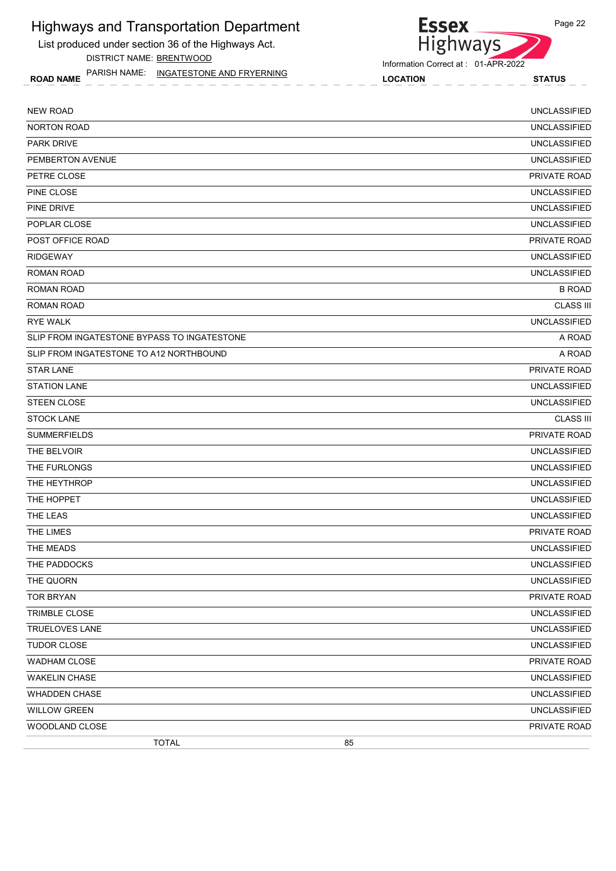List produced under section 36 of the Highways Act.

DISTRICT NAME: BRENTWOOD

ROAD NAME LOCATION STATUS PARISH NAME: INGATESTONE AND FRYERNING

# Highways

Information Correct at : 01-APR-2022

**Essex** 

| <b>NEW ROAD</b>                             |    | <b>UNCLASSIFIED</b> |
|---------------------------------------------|----|---------------------|
| NORTON ROAD                                 |    | <b>UNCLASSIFIED</b> |
| <b>PARK DRIVE</b>                           |    | <b>UNCLASSIFIED</b> |
| PEMBERTON AVENUE                            |    | <b>UNCLASSIFIED</b> |
| PETRE CLOSE                                 |    | PRIVATE ROAD        |
| PINE CLOSE                                  |    | <b>UNCLASSIFIED</b> |
| PINE DRIVE                                  |    | <b>UNCLASSIFIED</b> |
| POPLAR CLOSE                                |    | <b>UNCLASSIFIED</b> |
| POST OFFICE ROAD                            |    | PRIVATE ROAD        |
| <b>RIDGEWAY</b>                             |    | <b>UNCLASSIFIED</b> |
| ROMAN ROAD                                  |    | <b>UNCLASSIFIED</b> |
| <b>ROMAN ROAD</b>                           |    | <b>B ROAD</b>       |
| <b>ROMAN ROAD</b>                           |    | <b>CLASS III</b>    |
| <b>RYE WALK</b>                             |    | <b>UNCLASSIFIED</b> |
| SLIP FROM INGATESTONE BYPASS TO INGATESTONE |    | A ROAD              |
| SLIP FROM INGATESTONE TO A12 NORTHBOUND     |    | A ROAD              |
| <b>STAR LANE</b>                            |    | PRIVATE ROAD        |
| <b>STATION LANE</b>                         |    | <b>UNCLASSIFIED</b> |
| STEEN CLOSE                                 |    | <b>UNCLASSIFIED</b> |
| <b>STOCK LANE</b>                           |    | <b>CLASS III</b>    |
| <b>SUMMERFIELDS</b>                         |    | PRIVATE ROAD        |
| THE BELVOIR                                 |    | <b>UNCLASSIFIED</b> |
| THE FURLONGS                                |    | <b>UNCLASSIFIED</b> |
| THE HEYTHROP                                |    | <b>UNCLASSIFIED</b> |
| THE HOPPET                                  |    | <b>UNCLASSIFIED</b> |
| THE LEAS                                    |    | <b>UNCLASSIFIED</b> |
| THE LIMES                                   |    | PRIVATE ROAD        |
| THE MEADS                                   |    | <b>UNCLASSIFIED</b> |
| THE PADDOCKS                                |    | <b>UNCLASSIFIED</b> |
| THE QUORN                                   |    | <b>UNCLASSIFIED</b> |
| <b>TOR BRYAN</b>                            |    | PRIVATE ROAD        |
| TRIMBLE CLOSE                               |    | <b>UNCLASSIFIED</b> |
| TRUELOVES LANE                              |    | <b>UNCLASSIFIED</b> |
| TUDOR CLOSE                                 |    | <b>UNCLASSIFIED</b> |
| <b>WADHAM CLOSE</b>                         |    | PRIVATE ROAD        |
| <b>WAKELIN CHASE</b>                        |    | <b>UNCLASSIFIED</b> |
| <b>WHADDEN CHASE</b>                        |    | <b>UNCLASSIFIED</b> |
| <b>WILLOW GREEN</b>                         |    | UNCLASSIFIED        |
| WOODLAND CLOSE                              |    | PRIVATE ROAD        |
| <b>TOTAL</b>                                | 85 |                     |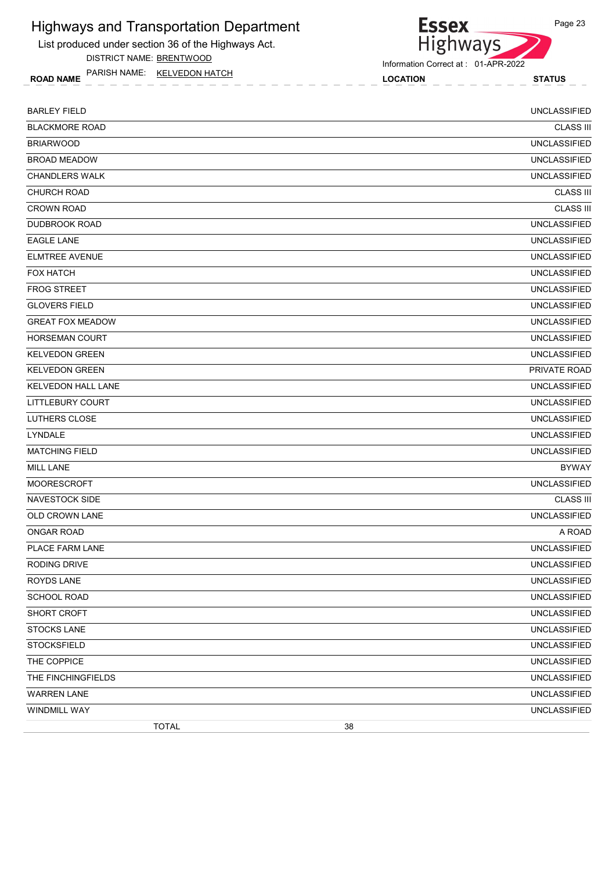List produced under section 36 of the Highways Act.

DISTRICT NAME: BRENTWOOD

ROAD NAME LOCATION STATUS PARISH NAME: KELVEDON HATCH



Essex<br>Highways

| <b>BARLEY FIELD</b>     |              |    | <b>UNCLASSIFIED</b> |
|-------------------------|--------------|----|---------------------|
| <b>BLACKMORE ROAD</b>   |              |    | <b>CLASS III</b>    |
| <b>BRIARWOOD</b>        |              |    | <b>UNCLASSIFIED</b> |
| <b>BROAD MEADOW</b>     |              |    | <b>UNCLASSIFIED</b> |
| <b>CHANDLERS WALK</b>   |              |    | <b>UNCLASSIFIED</b> |
| CHURCH ROAD             |              |    | <b>CLASS III</b>    |
| <b>CROWN ROAD</b>       |              |    | <b>CLASS III</b>    |
| <b>DUDBROOK ROAD</b>    |              |    | <b>UNCLASSIFIED</b> |
| <b>EAGLE LANE</b>       |              |    | <b>UNCLASSIFIED</b> |
| <b>ELMTREE AVENUE</b>   |              |    | <b>UNCLASSIFIED</b> |
| <b>FOX HATCH</b>        |              |    | <b>UNCLASSIFIED</b> |
| <b>FROG STREET</b>      |              |    | <b>UNCLASSIFIED</b> |
| <b>GLOVERS FIELD</b>    |              |    | <b>UNCLASSIFIED</b> |
| <b>GREAT FOX MEADOW</b> |              |    | <b>UNCLASSIFIED</b> |
| <b>HORSEMAN COURT</b>   |              |    | <b>UNCLASSIFIED</b> |
| <b>KELVEDON GREEN</b>   |              |    | <b>UNCLASSIFIED</b> |
| <b>KELVEDON GREEN</b>   |              |    | PRIVATE ROAD        |
| KELVEDON HALL LANE      |              |    | <b>UNCLASSIFIED</b> |
| <b>LITTLEBURY COURT</b> |              |    | <b>UNCLASSIFIED</b> |
| <b>LUTHERS CLOSE</b>    |              |    | <b>UNCLASSIFIED</b> |
| LYNDALE                 |              |    | <b>UNCLASSIFIED</b> |
| <b>MATCHING FIELD</b>   |              |    | <b>UNCLASSIFIED</b> |
| <b>MILL LANE</b>        |              |    | <b>BYWAY</b>        |
| <b>MOORESCROFT</b>      |              |    | <b>UNCLASSIFIED</b> |
| <b>NAVESTOCK SIDE</b>   |              |    | <b>CLASS III</b>    |
| OLD CROWN LANE          |              |    | <b>UNCLASSIFIED</b> |
| <b>ONGAR ROAD</b>       |              |    | A ROAD              |
| PLACE FARM LANE         |              |    | <b>UNCLASSIFIED</b> |
| <b>RODING DRIVE</b>     |              |    | UNCLASSIFIED        |
| ROYDS LANE              |              |    | <b>UNCLASSIFIED</b> |
| SCHOOL ROAD             |              |    | <b>UNCLASSIFIED</b> |
| SHORT CROFT             |              |    | <b>UNCLASSIFIED</b> |
| <b>STOCKS LANE</b>      |              |    | <b>UNCLASSIFIED</b> |
| <b>STOCKSFIELD</b>      |              |    | <b>UNCLASSIFIED</b> |
| THE COPPICE             |              |    | <b>UNCLASSIFIED</b> |
| THE FINCHINGFIELDS      |              |    | <b>UNCLASSIFIED</b> |
| <b>WARREN LANE</b>      |              |    | <b>UNCLASSIFIED</b> |
| WINDMILL WAY            |              |    | <b>UNCLASSIFIED</b> |
|                         | <b>TOTAL</b> | 38 |                     |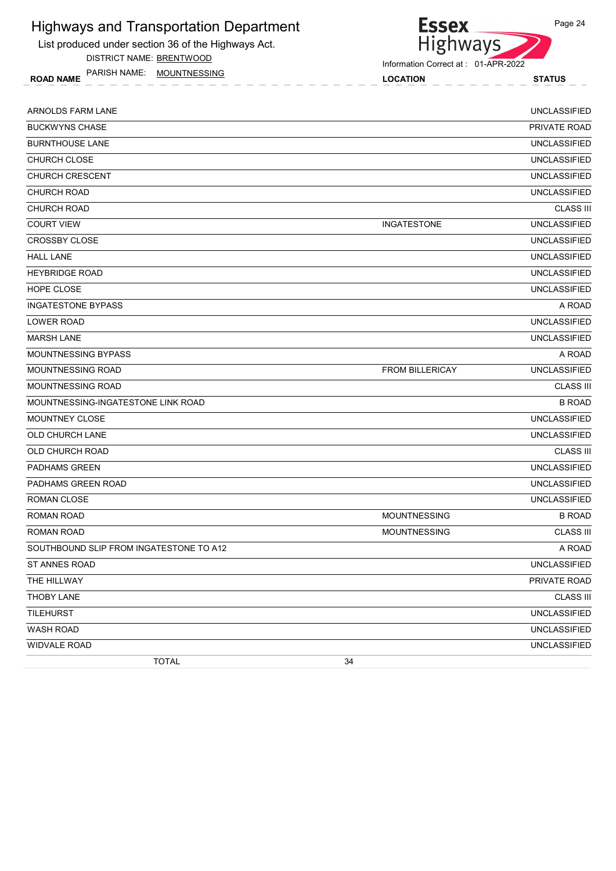List produced under section 36 of the Highways Act.

DISTRICT NAME: BRENTWOOD

ROAD NAME LOCATION STATUS PARISH NAME: MOUNTNESSING



Information Correct at : 01-APR-2022

| ARNOLDS FARM LANE                       |                        | <b>UNCLASSIFIED</b> |
|-----------------------------------------|------------------------|---------------------|
| <b>BUCKWYNS CHASE</b>                   |                        | PRIVATE ROAD        |
| <b>BURNTHOUSE LANE</b>                  |                        | <b>UNCLASSIFIED</b> |
| CHURCH CLOSE                            |                        | <b>UNCLASSIFIED</b> |
| <b>CHURCH CRESCENT</b>                  |                        | <b>UNCLASSIFIED</b> |
| <b>CHURCH ROAD</b>                      |                        | <b>UNCLASSIFIED</b> |
| <b>CHURCH ROAD</b>                      |                        | <b>CLASS III</b>    |
| <b>COURT VIEW</b>                       | <b>INGATESTONE</b>     | <b>UNCLASSIFIED</b> |
| <b>CROSSBY CLOSE</b>                    |                        | <b>UNCLASSIFIED</b> |
| <b>HALL LANE</b>                        |                        | <b>UNCLASSIFIED</b> |
| <b>HEYBRIDGE ROAD</b>                   |                        | <b>UNCLASSIFIED</b> |
| HOPE CLOSE                              |                        | <b>UNCLASSIFIED</b> |
| <b>INGATESTONE BYPASS</b>               |                        | A ROAD              |
| LOWER ROAD                              |                        | <b>UNCLASSIFIED</b> |
| <b>MARSH LANE</b>                       |                        | <b>UNCLASSIFIED</b> |
| MOUNTNESSING BYPASS                     |                        | A ROAD              |
| <b>MOUNTNESSING ROAD</b>                | <b>FROM BILLERICAY</b> | <b>UNCLASSIFIED</b> |
| MOUNTNESSING ROAD                       |                        | <b>CLASS III</b>    |
| MOUNTNESSING-INGATESTONE LINK ROAD      |                        | <b>B ROAD</b>       |
| <b>MOUNTNEY CLOSE</b>                   |                        | <b>UNCLASSIFIED</b> |
| OLD CHURCH LANE                         |                        | <b>UNCLASSIFIED</b> |
| OLD CHURCH ROAD                         |                        | <b>CLASS III</b>    |
| <b>PADHAMS GREEN</b>                    |                        | <b>UNCLASSIFIED</b> |
| PADHAMS GREEN ROAD                      |                        | <b>UNCLASSIFIED</b> |
| <b>ROMAN CLOSE</b>                      |                        | <b>UNCLASSIFIED</b> |
| ROMAN ROAD                              | <b>MOUNTNESSING</b>    | <b>B ROAD</b>       |
| ROMAN ROAD                              | <b>MOUNTNESSING</b>    | <b>CLASS III</b>    |
| SOUTHBOUND SLIP FROM INGATESTONE TO A12 |                        | A ROAD              |
| ST ANNES ROAD                           |                        | <b>UNCLASSIFIED</b> |
| THE HILLWAY                             |                        | PRIVATE ROAD        |
| THOBY LANE                              |                        | <b>CLASS III</b>    |
| <b>TILEHURST</b>                        |                        | <b>UNCLASSIFIED</b> |
| WASH ROAD                               |                        | <b>UNCLASSIFIED</b> |
| WIDVALE ROAD                            |                        | <b>UNCLASSIFIED</b> |
| <b>TOTAL</b>                            | 34                     |                     |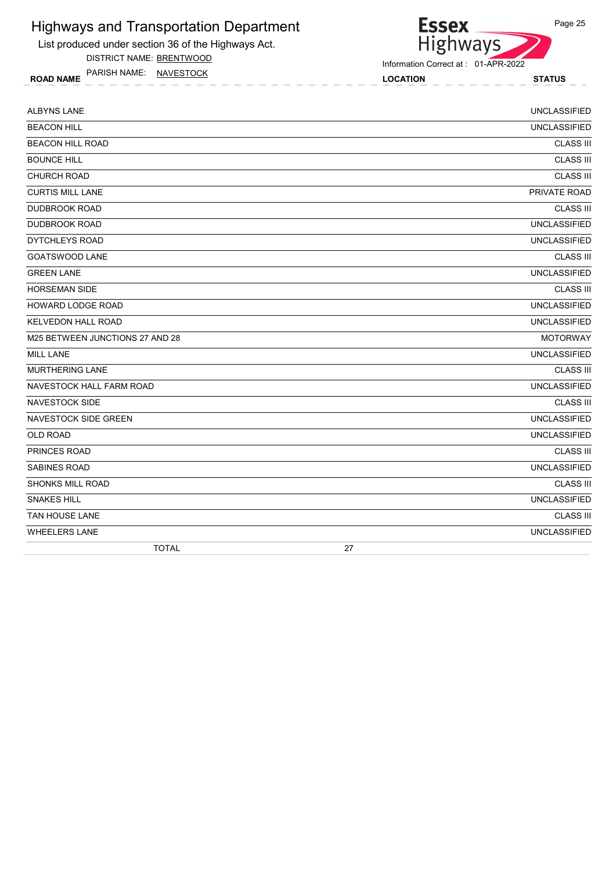List produced under section 36 of the Highways Act.

DISTRICT NAME: BRENTWOOD

ROAD NAME LOCATION STATUS PARISH NAME: NAVESTOCK

Essex<br>Highways

Information Correct at : 01-APR-2022

| <b>ALBYNS LANE</b>              | <b>UNCLASSIFIED</b> |
|---------------------------------|---------------------|
| <b>BEACON HILL</b>              | <b>UNCLASSIFIED</b> |
| <b>BEACON HILL ROAD</b>         | <b>CLASS III</b>    |
| <b>BOUNCE HILL</b>              | <b>CLASS III</b>    |
| <b>CHURCH ROAD</b>              | <b>CLASS III</b>    |
| <b>CURTIS MILL LANE</b>         | PRIVATE ROAD        |
| <b>DUDBROOK ROAD</b>            | <b>CLASS III</b>    |
| <b>DUDBROOK ROAD</b>            | <b>UNCLASSIFIED</b> |
| <b>DYTCHLEYS ROAD</b>           | <b>UNCLASSIFIED</b> |
| <b>GOATSWOOD LANE</b>           | <b>CLASS III</b>    |
| <b>GREEN LANE</b>               | <b>UNCLASSIFIED</b> |
| <b>HORSEMAN SIDE</b>            | <b>CLASS III</b>    |
| HOWARD LODGE ROAD               | <b>UNCLASSIFIED</b> |
| <b>KELVEDON HALL ROAD</b>       | <b>UNCLASSIFIED</b> |
| M25 BETWEEN JUNCTIONS 27 AND 28 | <b>MOTORWAY</b>     |
| <b>MILL LANE</b>                | <b>UNCLASSIFIED</b> |
| <b>MURTHERING LANE</b>          | <b>CLASS III</b>    |
| NAVESTOCK HALL FARM ROAD        | <b>UNCLASSIFIED</b> |
| NAVESTOCK SIDE                  | <b>CLASS III</b>    |
| NAVESTOCK SIDE GREEN            | <b>UNCLASSIFIED</b> |
| <b>OLD ROAD</b>                 | <b>UNCLASSIFIED</b> |
| <b>PRINCES ROAD</b>             | <b>CLASS III</b>    |
| <b>SABINES ROAD</b>             | <b>UNCLASSIFIED</b> |
| SHONKS MILL ROAD                | <b>CLASS III</b>    |
| <b>SNAKES HILL</b>              | <b>UNCLASSIFIED</b> |
| TAN HOUSE LANE                  | <b>CLASS III</b>    |
| <b>WHEELERS LANE</b>            | <b>UNCLASSIFIED</b> |
| <b>TOTAL</b><br>27              |                     |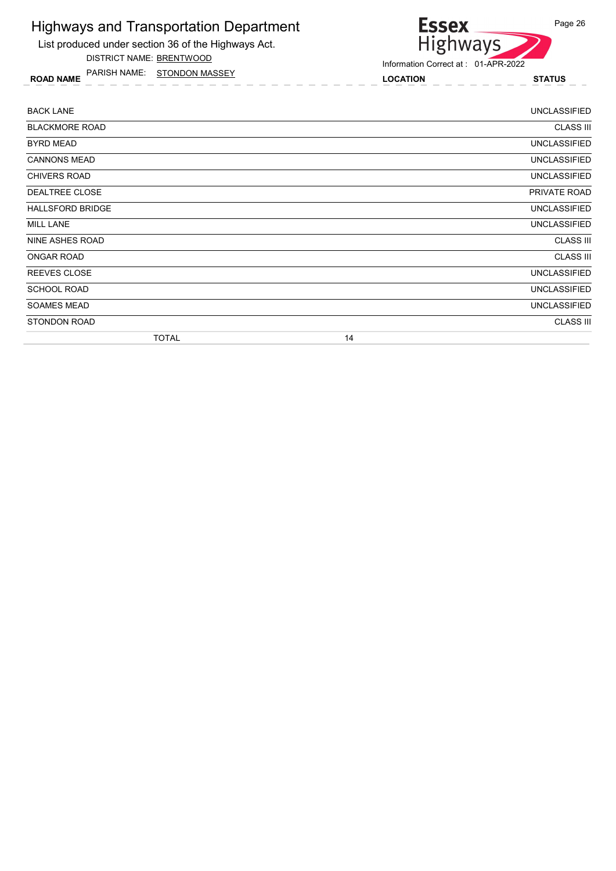

DISTRICT NAME: BRENTWOOD

ROAD NAME LOCATION STATUS PARISH NAME: STONDON MASSEY



| <b>BACK LANE</b>        |              |    | <b>UNCLASSIFIED</b> |
|-------------------------|--------------|----|---------------------|
| <b>BLACKMORE ROAD</b>   |              |    | <b>CLASS III</b>    |
| BYRD MEAD               |              |    | <b>UNCLASSIFIED</b> |
| <b>CANNONS MEAD</b>     |              |    | <b>UNCLASSIFIED</b> |
| <b>CHIVERS ROAD</b>     |              |    | <b>UNCLASSIFIED</b> |
| DEALTREE CLOSE          |              |    | PRIVATE ROAD        |
| <b>HALLSFORD BRIDGE</b> |              |    | UNCLASSIFIED        |
| <b>MILL LANE</b>        |              |    | <b>UNCLASSIFIED</b> |
| NINE ASHES ROAD         |              |    | <b>CLASS III</b>    |
| <b>ONGAR ROAD</b>       |              |    | <b>CLASS III</b>    |
| <b>REEVES CLOSE</b>     |              |    | <b>UNCLASSIFIED</b> |
| <b>SCHOOL ROAD</b>      |              |    | <b>UNCLASSIFIED</b> |
| <b>SOAMES MEAD</b>      |              |    | <b>UNCLASSIFIED</b> |
| <b>STONDON ROAD</b>     |              |    | <b>CLASS III</b>    |
|                         | <b>TOTAL</b> | 14 |                     |